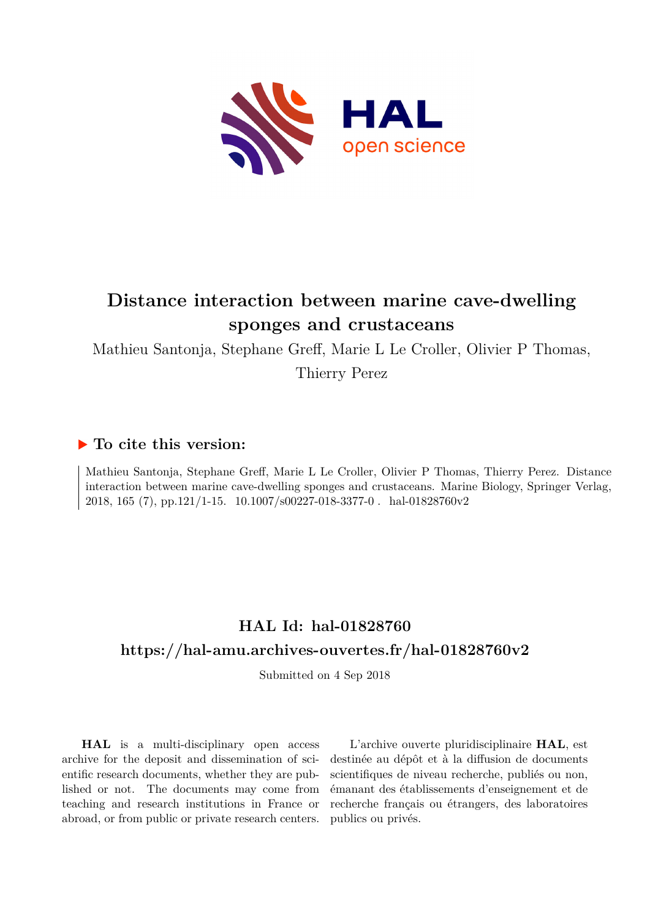

# **Distance interaction between marine cave-dwelling sponges and crustaceans**

Mathieu Santonja, Stephane Greff, Marie L Le Croller, Olivier P Thomas,

Thierry Perez

# **To cite this version:**

Mathieu Santonja, Stephane Greff, Marie L Le Croller, Olivier P Thomas, Thierry Perez. Distance interaction between marine cave-dwelling sponges and crustaceans. Marine Biology, Springer Verlag, 2018, 165 (7), pp.121/1-15. 10.1007/s00227-018-3377-0. hal-01828760v2

# **HAL Id: hal-01828760 <https://hal-amu.archives-ouvertes.fr/hal-01828760v2>**

Submitted on 4 Sep 2018

**HAL** is a multi-disciplinary open access archive for the deposit and dissemination of scientific research documents, whether they are published or not. The documents may come from teaching and research institutions in France or abroad, or from public or private research centers.

L'archive ouverte pluridisciplinaire **HAL**, est destinée au dépôt et à la diffusion de documents scientifiques de niveau recherche, publiés ou non, émanant des établissements d'enseignement et de recherche français ou étrangers, des laboratoires publics ou privés.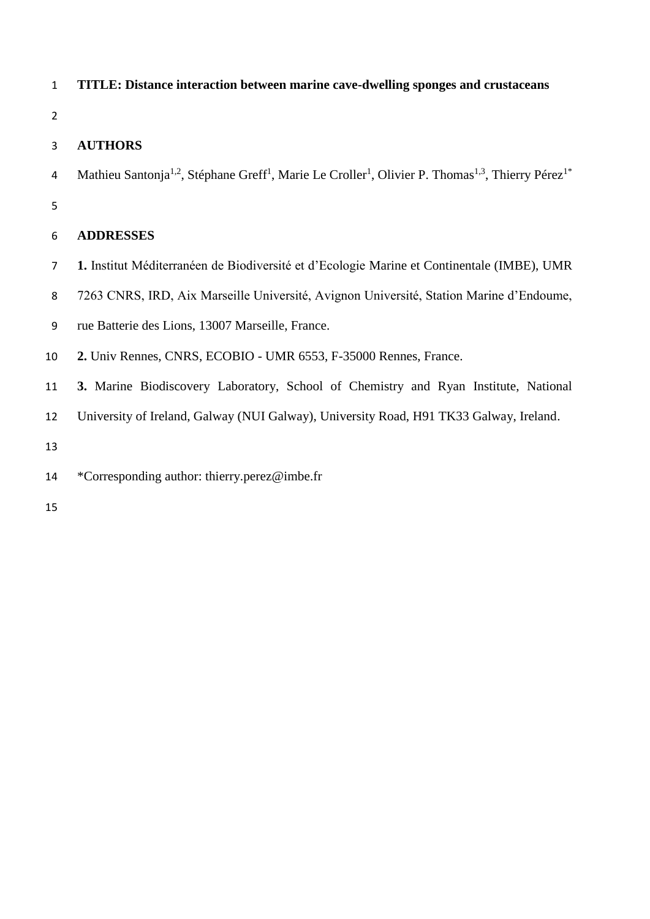- **TITLE: Distance interaction between marine cave-dwelling sponges and crustaceans**
- 

# **AUTHORS**

- 4 Mathieu Santonja<sup>1,2</sup>, Stéphane Greff<sup>1</sup>, Marie Le Croller<sup>1</sup>, Olivier P. Thomas<sup>1,3</sup>, Thierry Pérez<sup>1\*</sup>
- 

# **ADDRESSES**

- **1.** Institut Méditerranéen de Biodiversité et d'Ecologie Marine et Continentale (IMBE), UMR
- 7263 CNRS, IRD, Aix Marseille Université, Avignon Université, Station Marine d'Endoume,
- rue Batterie des Lions, 13007 Marseille, France.
- **2.** Univ Rennes, CNRS, ECOBIO UMR 6553, F-35000 Rennes, France.
- **3.** Marine Biodiscovery Laboratory, School of Chemistry and Ryan Institute, National
- University of Ireland, Galway (NUI Galway), University Road, H91 TK33 Galway, Ireland.

\*Corresponding author: thierry.perez@imbe.fr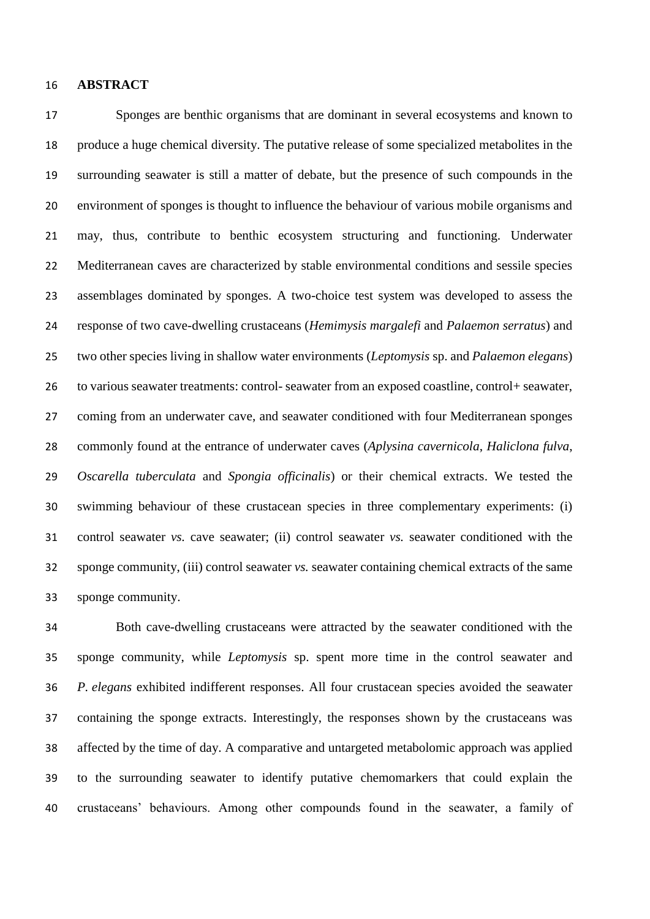#### **ABSTRACT**

 Sponges are benthic organisms that are dominant in several ecosystems and known to produce a huge chemical diversity. The putative release of some specialized metabolites in the surrounding seawater is still a matter of debate, but the presence of such compounds in the environment of sponges is thought to influence the behaviour of various mobile organisms and may, thus, contribute to benthic ecosystem structuring and functioning. Underwater Mediterranean caves are characterized by stable environmental conditions and sessile species assemblages dominated by sponges. A two-choice test system was developed to assess the response of two cave-dwelling crustaceans (*Hemimysis margalefi* and *Palaemon serratus*) and two other species living in shallow water environments (*Leptomysis* sp. and *Palaemon elegans*) to various seawater treatments: control- seawater from an exposed coastline, control+ seawater, coming from an underwater cave, and seawater conditioned with four Mediterranean sponges commonly found at the entrance of underwater caves (*Aplysina cavernicola*, *Haliclona fulva*, *Oscarella tuberculata* and *Spongia officinalis*) or their chemical extracts. We tested the swimming behaviour of these crustacean species in three complementary experiments: (i) control seawater *vs.* cave seawater; (ii) control seawater *vs.* seawater conditioned with the sponge community, (iii) control seawater *vs.* seawater containing chemical extracts of the same sponge community.

 Both cave-dwelling crustaceans were attracted by the seawater conditioned with the sponge community, while *Leptomysis* sp. spent more time in the control seawater and *P. elegans* exhibited indifferent responses. All four crustacean species avoided the seawater containing the sponge extracts. Interestingly, the responses shown by the crustaceans was affected by the time of day. A comparative and untargeted metabolomic approach was applied to the surrounding seawater to identify putative chemomarkers that could explain the crustaceans' behaviours. Among other compounds found in the seawater, a family of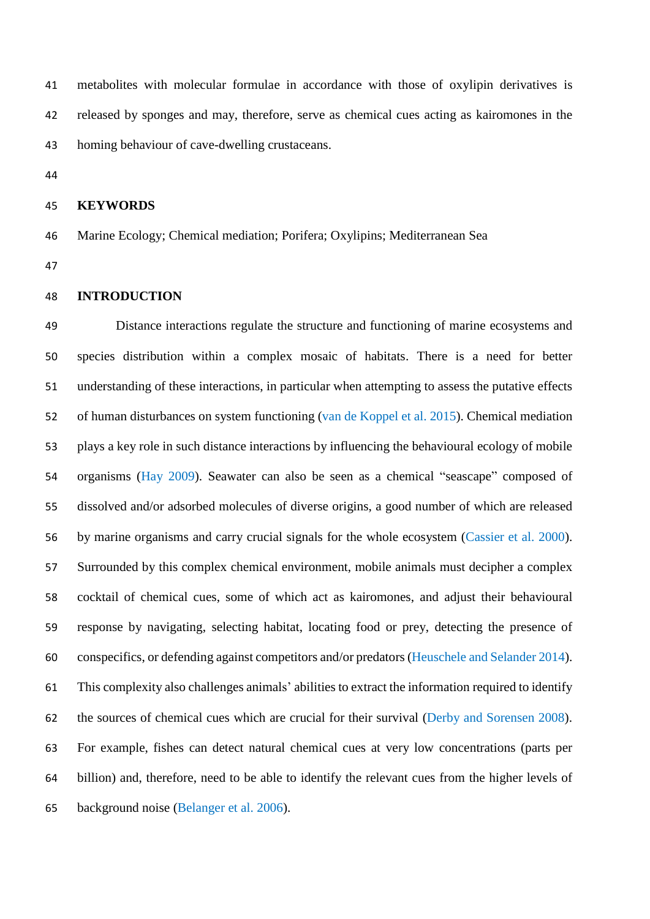metabolites with molecular formulae in accordance with those of oxylipin derivatives is released by sponges and may, therefore, serve as chemical cues acting as kairomones in the homing behaviour of cave-dwelling crustaceans.

#### **KEYWORDS**

- Marine Ecology; Chemical mediation; Porifera; Oxylipins; Mediterranean Sea
- 

#### **INTRODUCTION**

 Distance interactions regulate the structure and functioning of marine ecosystems and species distribution within a complex mosaic of habitats. There is a need for better understanding of these interactions, in particular when attempting to assess the putative effects of human disturbances on system functioning (van de Koppel et al. 2015). Chemical mediation plays a key role in such distance interactions by influencing the behavioural ecology of mobile organisms (Hay 2009). Seawater can also be seen as a chemical "seascape" composed of dissolved and/or adsorbed molecules of diverse origins, a good number of which are released by marine organisms and carry crucial signals for the whole ecosystem (Cassier et al. 2000). Surrounded by this complex chemical environment, mobile animals must decipher a complex cocktail of chemical cues, some of which act as kairomones, and adjust their behavioural response by navigating, selecting habitat, locating food or prey, detecting the presence of conspecifics, or defending against competitors and/or predators (Heuschele and Selander 2014). This complexity also challenges animals' abilities to extract the information required to identify the sources of chemical cues which are crucial for their survival (Derby and Sorensen 2008). For example, fishes can detect natural chemical cues at very low concentrations (parts per billion) and, therefore, need to be able to identify the relevant cues from the higher levels of background noise (Belanger et al. 2006).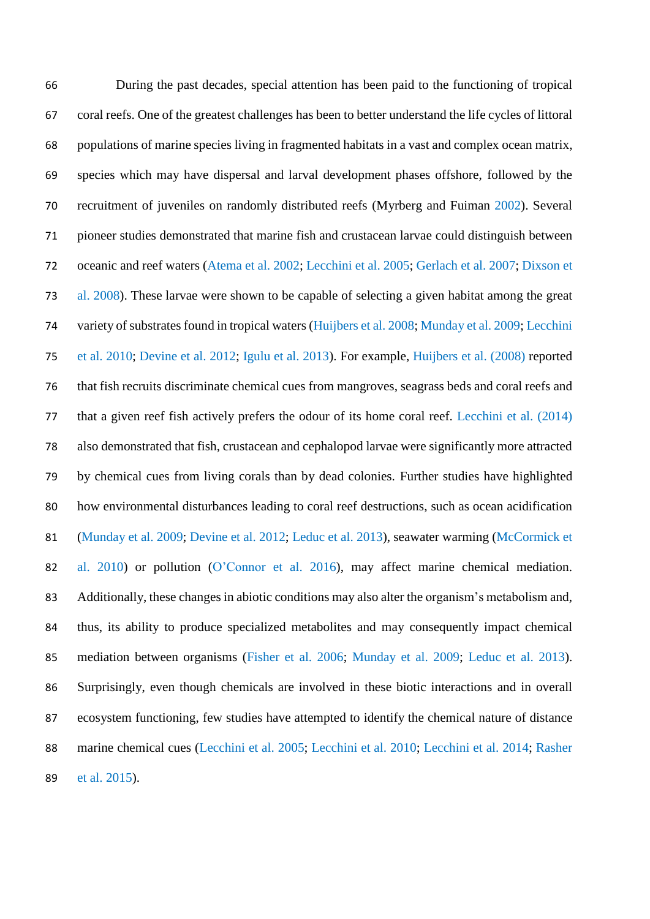During the past decades, special attention has been paid to the functioning of tropical coral reefs. One of the greatest challenges has been to better understand the life cycles of littoral populations of marine species living in fragmented habitats in a vast and complex ocean matrix, species which may have dispersal and larval development phases offshore, followed by the recruitment of juveniles on randomly distributed reefs (Myrberg and Fuiman 2002). Several pioneer studies demonstrated that marine fish and crustacean larvae could distinguish between oceanic and reef waters (Atema et al. 2002; Lecchini et al. 2005; Gerlach et al. 2007; Dixson et al. 2008). These larvae were shown to be capable of selecting a given habitat among the great variety of substrates found in tropical waters (Huijbers et al. 2008; Munday et al. 2009; Lecchini et al. 2010; Devine et al. 2012; Igulu et al. 2013). For example, Huijbers et al. (2008) reported that fish recruits discriminate chemical cues from mangroves, seagrass beds and coral reefs and that a given reef fish actively prefers the odour of its home coral reef. Lecchini et al. (2014) also demonstrated that fish, crustacean and cephalopod larvae were significantly more attracted by chemical cues from living corals than by dead colonies. Further studies have highlighted how environmental disturbances leading to coral reef destructions, such as ocean acidification (Munday et al. 2009; Devine et al. 2012; Leduc et al. 2013), seawater warming (McCormick et al. 2010) or pollution (O'Connor et al. 2016), may affect marine chemical mediation. Additionally, these changes in abiotic conditions may also alter the organism's metabolism and, thus, its ability to produce specialized metabolites and may consequently impact chemical mediation between organisms (Fisher et al. 2006; Munday et al. 2009; Leduc et al. 2013). Surprisingly, even though chemicals are involved in these biotic interactions and in overall ecosystem functioning, few studies have attempted to identify the chemical nature of distance marine chemical cues (Lecchini et al. 2005; Lecchini et al. 2010; Lecchini et al. 2014; Rasher et al. 2015).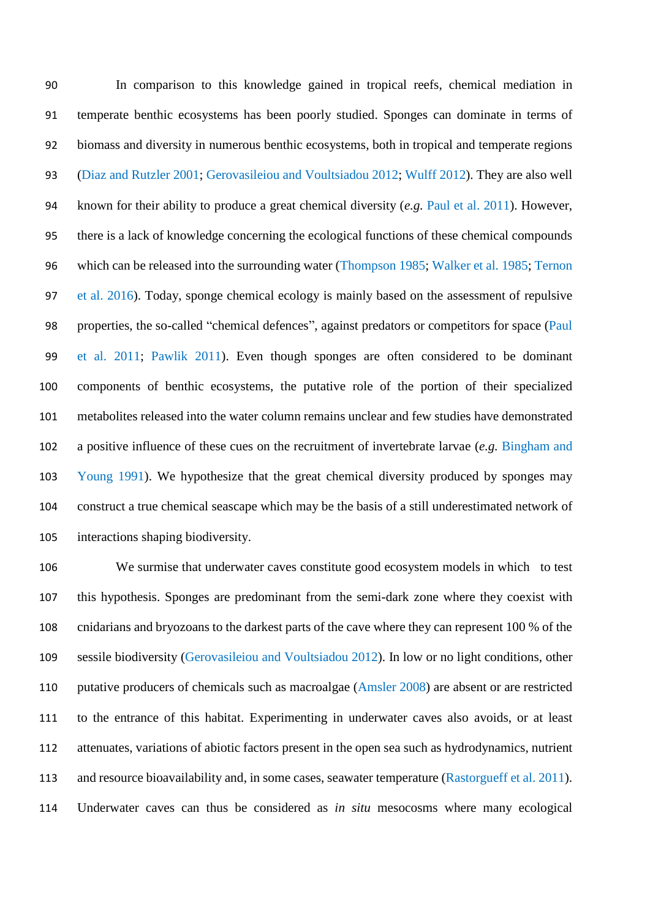In comparison to this knowledge gained in tropical reefs, chemical mediation in temperate benthic ecosystems has been poorly studied. Sponges can dominate in terms of biomass and diversity in numerous benthic ecosystems, both in tropical and temperate regions (Diaz and Rutzler 2001; Gerovasileiou and Voultsiadou 2012; Wulff 2012). They are also well known for their ability to produce a great chemical diversity (*e.g.* Paul et al. 2011). However, there is a lack of knowledge concerning the ecological functions of these chemical compounds which can be released into the surrounding water (Thompson 1985; Walker et al. 1985; Ternon et al. 2016). Today, sponge chemical ecology is mainly based on the assessment of repulsive properties, the so-called "chemical defences", against predators or competitors for space (Paul et al. 2011; Pawlik 2011). Even though sponges are often considered to be dominant components of benthic ecosystems, the putative role of the portion of their specialized metabolites released into the water column remains unclear and few studies have demonstrated a positive influence of these cues on the recruitment of invertebrate larvae (*e.g.* Bingham and Young 1991). We hypothesize that the great chemical diversity produced by sponges may construct a true chemical seascape which may be the basis of a still underestimated network of interactions shaping biodiversity.

 We surmise that underwater caves constitute good ecosystem models in which to test this hypothesis. Sponges are predominant from the semi-dark zone where they coexist with cnidarians and bryozoans to the darkest parts of the cave where they can represent 100 % of the sessile biodiversity (Gerovasileiou and Voultsiadou 2012). In low or no light conditions, other putative producers of chemicals such as macroalgae (Amsler 2008) are absent or are restricted to the entrance of this habitat. Experimenting in underwater caves also avoids, or at least attenuates, variations of abiotic factors present in the open sea such as hydrodynamics, nutrient and resource bioavailability and, in some cases, seawater temperature (Rastorgueff et al. 2011). Underwater caves can thus be considered as *in situ* mesocosms where many ecological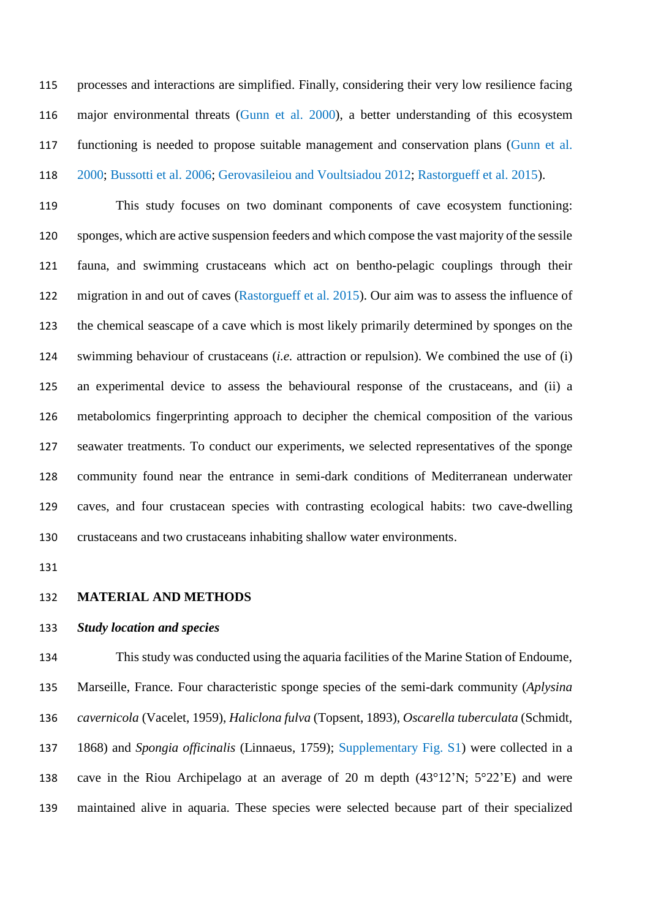processes and interactions are simplified. Finally, considering their very low resilience facing major environmental threats (Gunn et al. 2000), a better understanding of this ecosystem functioning is needed to propose suitable management and conservation plans (Gunn et al. 2000; Bussotti et al. 2006; Gerovasileiou and Voultsiadou 2012; Rastorgueff et al. 2015).

 This study focuses on two dominant components of cave ecosystem functioning: sponges, which are active suspension feeders and which compose the vast majority of the sessile fauna, and swimming crustaceans which act on bentho-pelagic couplings through their migration in and out of caves (Rastorgueff et al. 2015). Our aim was to assess the influence of the chemical seascape of a cave which is most likely primarily determined by sponges on the swimming behaviour of crustaceans (*i.e.* attraction or repulsion). We combined the use of (i) an experimental device to assess the behavioural response of the crustaceans, and (ii) a metabolomics fingerprinting approach to decipher the chemical composition of the various seawater treatments. To conduct our experiments, we selected representatives of the sponge community found near the entrance in semi-dark conditions of Mediterranean underwater caves, and four crustacean species with contrasting ecological habits: two cave-dwelling crustaceans and two crustaceans inhabiting shallow water environments.

#### **MATERIAL AND METHODS**

#### *Study location and species*

 This study was conducted using the aquaria facilities of the Marine Station of Endoume, Marseille, France. Four characteristic sponge species of the semi-dark community (*Aplysina cavernicola* (Vacelet, 1959), *Haliclona fulva* (Topsent, 1893), *Oscarella tuberculata* (Schmidt, 1868) and *Spongia officinalis* (Linnaeus, 1759); Supplementary Fig. S1) were collected in a cave in the Riou Archipelago at an average of 20 m depth (43°12'N; 5°22'E) and were maintained alive in aquaria. These species were selected because part of their specialized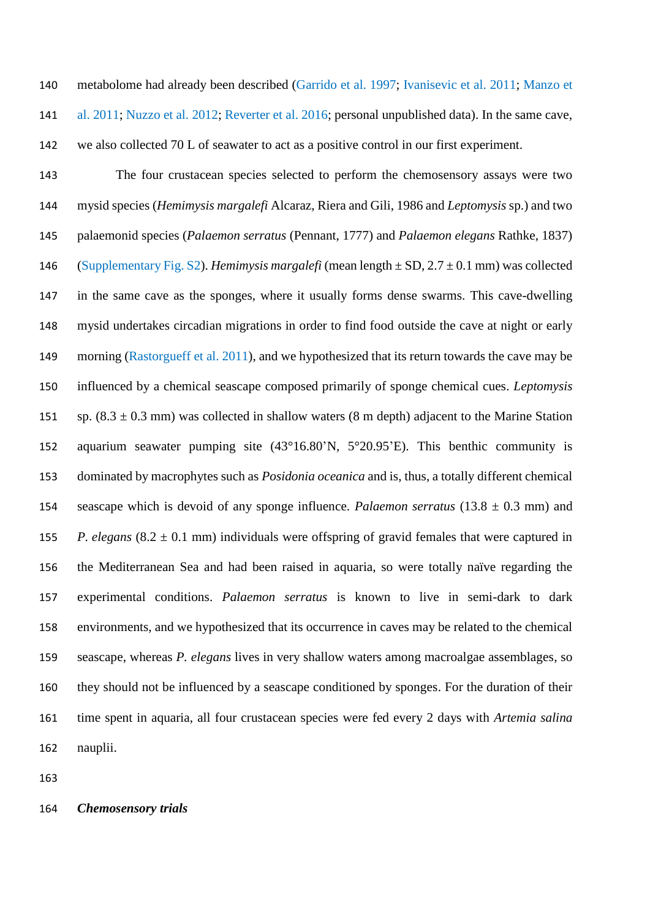metabolome had already been described (Garrido et al. 1997; Ivanisevic et al. 2011; Manzo et

al. 2011; Nuzzo et al. 2012; Reverter et al. 2016; personal unpublished data). In the same cave,

we also collected 70 L of seawater to act as a positive control in our first experiment.

 The four crustacean species selected to perform the chemosensory assays were two mysid species (*Hemimysis margalefi* Alcaraz, Riera and Gili, 1986 and *Leptomysis* sp.) and two palaemonid species (*Palaemon serratus* (Pennant, 1777) and *Palaemon elegans* Rathke, 1837) (Supplementary Fig. S2). *Hemimysis margalefi* (mean length ± SD, 2.7 ± 0.1 mm) was collected in the same cave as the sponges, where it usually forms dense swarms. This cave-dwelling mysid undertakes circadian migrations in order to find food outside the cave at night or early 149 morning (Rastorgueff et al. 2011), and we hypothesized that its return towards the cave may be influenced by a chemical seascape composed primarily of sponge chemical cues. *Leptomysis*  151 sp.  $(8.3 \pm 0.3 \text{ mm})$  was collected in shallow waters  $(8 \text{ m depth})$  adjacent to the Marine Station aquarium seawater pumping site (43°16.80'N, 5°20.95'E). This benthic community is dominated by macrophytes such as *Posidonia oceanica* and is, thus, a totally different chemical seascape which is devoid of any sponge influence. *Palaemon serratus* (13.8 ± 0.3 mm) and *P. elegans*  $(8.2 \pm 0.1 \text{ mm})$  individuals were offspring of gravid females that were captured in the Mediterranean Sea and had been raised in aquaria, so were totally naïve regarding the experimental conditions. *Palaemon serratus* is known to live in semi-dark to dark environments, and we hypothesized that its occurrence in caves may be related to the chemical seascape, whereas *P. elegans* lives in very shallow waters among macroalgae assemblages, so they should not be influenced by a seascape conditioned by sponges. For the duration of their time spent in aquaria, all four crustacean species were fed every 2 days with *Artemia salina* nauplii.

# *Chemosensory trials*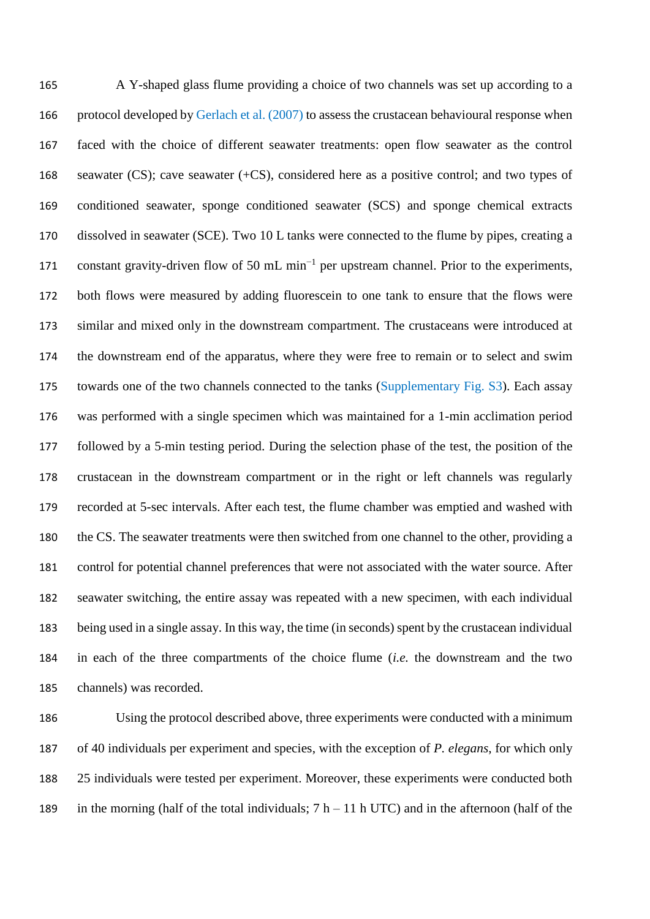A Y-shaped glass flume providing a choice of two channels was set up according to a protocol developed by Gerlach et al. (2007) to assess the crustacean behavioural response when faced with the choice of different seawater treatments: open flow seawater as the control seawater (CS); cave seawater (+CS), considered here as a positive control; and two types of conditioned seawater, sponge conditioned seawater (SCS) and sponge chemical extracts dissolved in seawater (SCE). Two 10 L tanks were connected to the flume by pipes, creating a 171 constant gravity-driven flow of 50 mL min<sup>-1</sup> per upstream channel. Prior to the experiments, both flows were measured by adding fluorescein to one tank to ensure that the flows were similar and mixed only in the downstream compartment. The crustaceans were introduced at the downstream end of the apparatus, where they were free to remain or to select and swim 175 towards one of the two channels connected to the tanks (Supplementary Fig. S3). Each assay was performed with a single specimen which was maintained for a 1-min acclimation period followed by a 5-min testing period. During the selection phase of the test, the position of the crustacean in the downstream compartment or in the right or left channels was regularly recorded at 5-sec intervals. After each test, the flume chamber was emptied and washed with the CS. The seawater treatments were then switched from one channel to the other, providing a control for potential channel preferences that were not associated with the water source. After seawater switching, the entire assay was repeated with a new specimen, with each individual being used in a single assay. In this way, the time (in seconds) spent by the crustacean individual in each of the three compartments of the choice flume (*i.e.* the downstream and the two channels) was recorded.

 Using the protocol described above, three experiments were conducted with a minimum of 40 individuals per experiment and species, with the exception of *P. elegans*, for which only 25 individuals were tested per experiment. Moreover, these experiments were conducted both 189 in the morning (half of the total individuals;  $7 h - 11 h$  UTC) and in the afternoon (half of the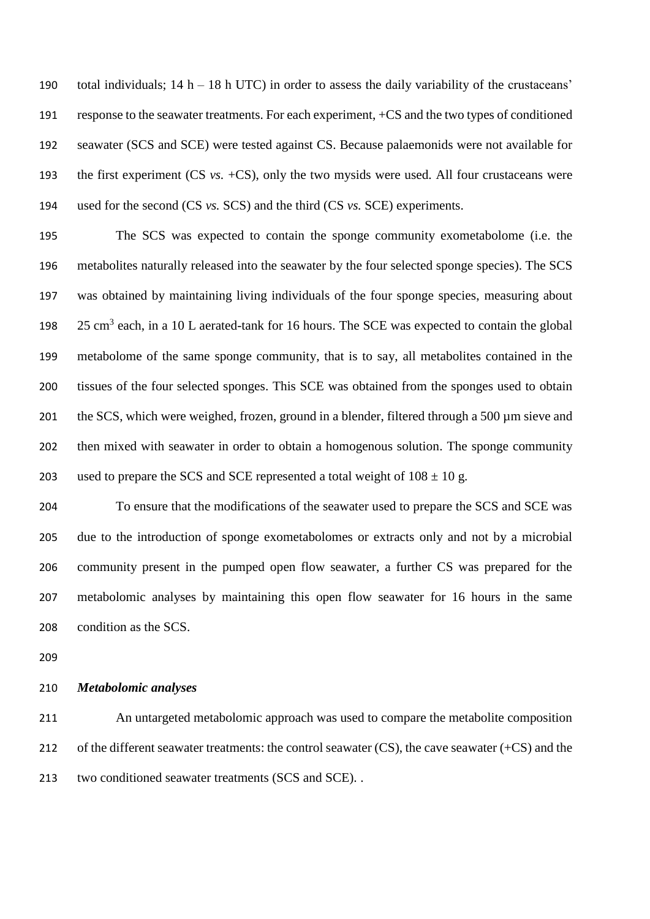190 total individuals;  $14 h - 18 h$  UTC) in order to assess the daily variability of the crustaceans' response to the seawater treatments. For each experiment, +CS and the two types of conditioned seawater (SCS and SCE) were tested against CS. Because palaemonids were not available for the first experiment (CS *vs.* +CS), only the two mysids were used. All four crustaceans were used for the second (CS *vs.* SCS) and the third (CS *vs.* SCE) experiments.

 The SCS was expected to contain the sponge community exometabolome (i.e. the metabolites naturally released into the seawater by the four selected sponge species). The SCS was obtained by maintaining living individuals of the four sponge species, measuring about  $25 \text{ cm}^3$  each, in a 10 L aerated-tank for 16 hours. The SCE was expected to contain the global metabolome of the same sponge community, that is to say, all metabolites contained in the tissues of the four selected sponges. This SCE was obtained from the sponges used to obtain 201 the SCS, which were weighed, frozen, ground in a blender, filtered through a 500 µm sieve and then mixed with seawater in order to obtain a homogenous solution. The sponge community 203 used to prepare the SCS and SCE represented a total weight of  $108 \pm 10$  g.

 To ensure that the modifications of the seawater used to prepare the SCS and SCE was due to the introduction of sponge exometabolomes or extracts only and not by a microbial community present in the pumped open flow seawater, a further CS was prepared for the metabolomic analyses by maintaining this open flow seawater for 16 hours in the same condition as the SCS.

### *Metabolomic analyses*

 An untargeted metabolomic approach was used to compare the metabolite composition 212 of the different seawater treatments: the control seawater (CS), the cave seawater (+CS) and the two conditioned seawater treatments (SCS and SCE). .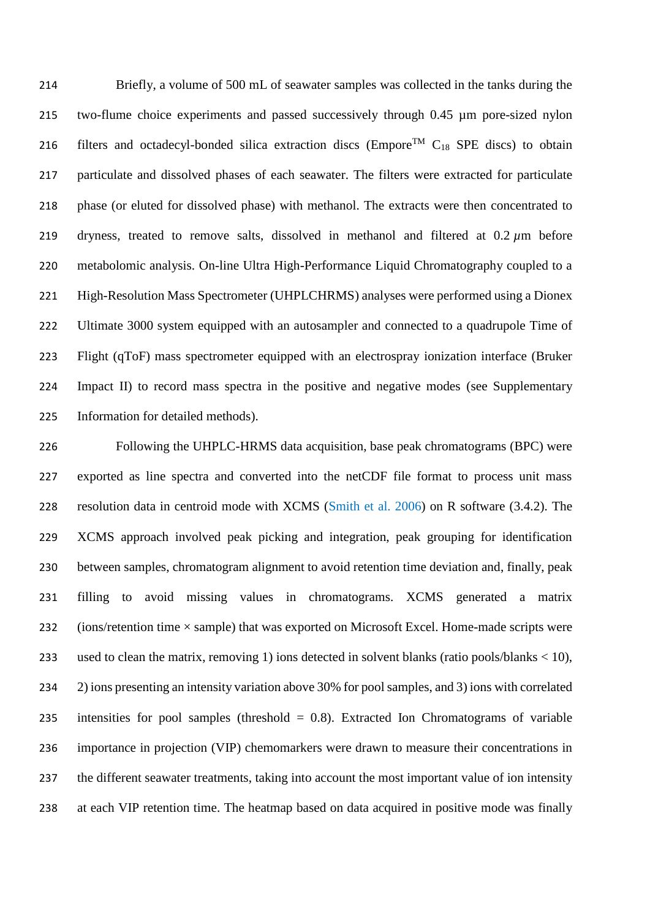Briefly, a volume of 500 mL of seawater samples was collected in the tanks during the two-flume choice experiments and passed successively through 0.45 µm pore-sized nylon 216 filters and octadecyl-bonded silica extraction discs (Empore<sup>TM</sup>  $C_{18}$  SPE discs) to obtain particulate and dissolved phases of each seawater. The filters were extracted for particulate phase (or eluted for dissolved phase) with methanol. The extracts were then concentrated to dryness, treated to remove salts, dissolved in methanol and filtered at 0.2 *µ*m before metabolomic analysis. On-line Ultra High-Performance Liquid Chromatography coupled to a High-Resolution Mass Spectrometer (UHPLCHRMS) analyses were performed using a Dionex 222 Ultimate 3000 system equipped with an autosampler and connected to a quadrupole Time of Flight (qToF) mass spectrometer equipped with an electrospray ionization interface (Bruker Impact II) to record mass spectra in the positive and negative modes (see Supplementary Information for detailed methods).

 Following the UHPLC-HRMS data acquisition, base peak chromatograms (BPC) were exported as line spectra and converted into the netCDF file format to process unit mass resolution data in centroid mode with XCMS (Smith et al. 2006) on R software (3.4.2). The XCMS approach involved peak picking and integration, peak grouping for identification between samples, chromatogram alignment to avoid retention time deviation and, finally, peak filling to avoid missing values in chromatograms. XCMS generated a matrix 232 (ions/retention time  $\times$  sample) that was exported on Microsoft Excel. Home-made scripts were used to clean the matrix, removing 1) ions detected in solvent blanks (ratio pools/blanks < 10), 2) ions presenting an intensity variation above 30% for pool samples, and 3) ions with correlated intensities for pool samples (threshold = 0.8). Extracted Ion Chromatograms of variable importance in projection (VIP) chemomarkers were drawn to measure their concentrations in the different seawater treatments, taking into account the most important value of ion intensity at each VIP retention time. The heatmap based on data acquired in positive mode was finally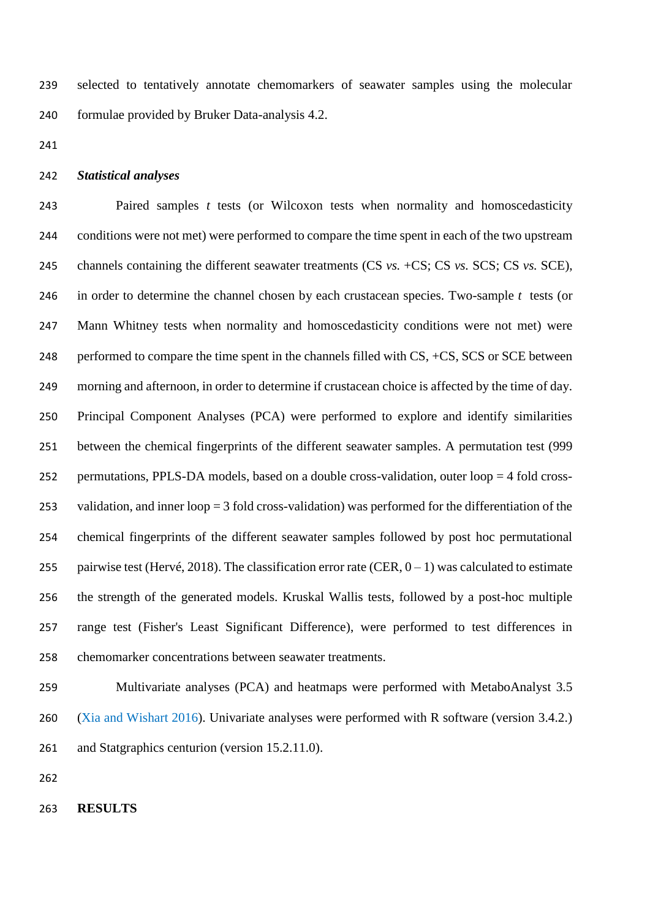selected to tentatively annotate chemomarkers of seawater samples using the molecular formulae provided by Bruker Data-analysis 4.2.

#### *Statistical analyses*

 Paired samples *t* tests (or Wilcoxon tests when normality and homoscedasticity conditions were not met) were performed to compare the time spent in each of the two upstream channels containing the different seawater treatments (CS *vs.* +CS; CS *vs.* SCS; CS *vs.* SCE), in order to determine the channel chosen by each crustacean species. Two-sample *t* tests (or Mann Whitney tests when normality and homoscedasticity conditions were not met) were 248 performed to compare the time spent in the channels filled with  $CS$ ,  $+CS$ ,  $SCS$  or  $SCE$  between morning and afternoon, in order to determine if crustacean choice is affected by the time of day. Principal Component Analyses (PCA) were performed to explore and identify similarities between the chemical fingerprints of the different seawater samples. A permutation test (999 permutations, PPLS-DA models, based on a double cross-validation, outer loop = 4 fold cross- validation, and inner loop = 3 fold cross-validation) was performed for the differentiation of the chemical fingerprints of the different seawater samples followed by post hoc permutational 255 pairwise test (Hervé, 2018). The classification error rate (CER,  $0 - 1$ ) was calculated to estimate the strength of the generated models. Kruskal Wallis tests, followed by a post-hoc multiple range test (Fisher's Least Significant Difference), were performed to test differences in chemomarker concentrations between seawater treatments.

 Multivariate analyses (PCA) and heatmaps were performed with MetaboAnalyst 3.5 (Xia and Wishart 2016). Univariate analyses were performed with R software (version 3.4.2.) and Statgraphics centurion (version 15.2.11.0).

**RESULTS**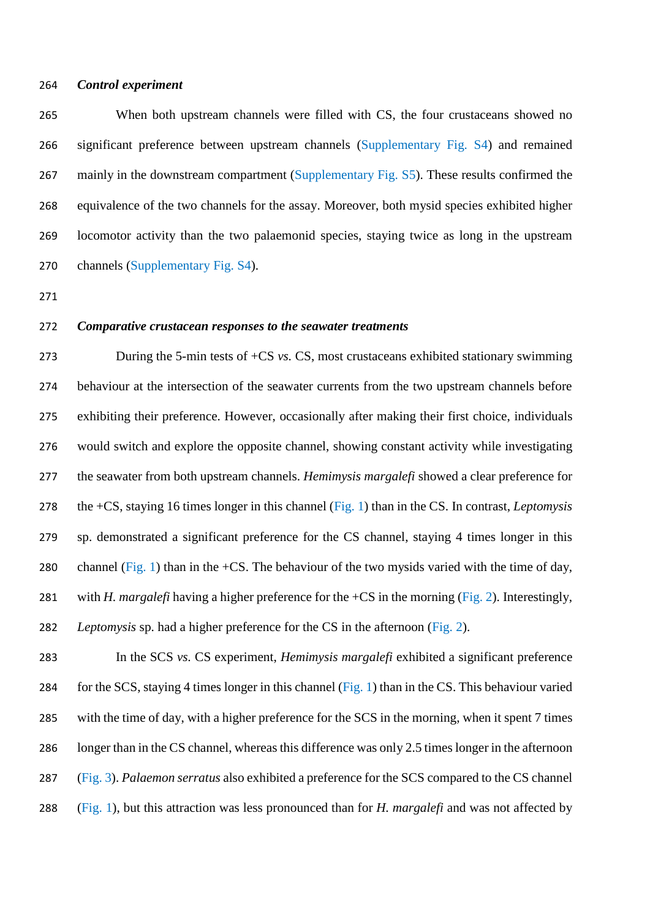### *Control experiment*

 When both upstream channels were filled with CS, the four crustaceans showed no significant preference between upstream channels (Supplementary Fig. S4) and remained 267 mainly in the downstream compartment (Supplementary Fig. S5). These results confirmed the equivalence of the two channels for the assay. Moreover, both mysid species exhibited higher locomotor activity than the two palaemonid species, staying twice as long in the upstream channels (Supplementary Fig. S4).

#### *Comparative crustacean responses to the seawater treatments*

 During the 5-min tests of +CS *vs.* CS, most crustaceans exhibited stationary swimming behaviour at the intersection of the seawater currents from the two upstream channels before exhibiting their preference. However, occasionally after making their first choice, individuals would switch and explore the opposite channel, showing constant activity while investigating the seawater from both upstream channels. *Hemimysis margalefi* showed a clear preference for the +CS, staying 16 times longer in this channel (Fig. 1) than in the CS. In contrast, *Leptomysis*  sp. demonstrated a significant preference for the CS channel, staying 4 times longer in this 280 channel (Fig. 1) than in the +CS. The behaviour of the two mysids varied with the time of day, with *H. margalefi* having a higher preference for the +CS in the morning (Fig. 2). Interestingly, *Leptomysis* sp. had a higher preference for the CS in the afternoon (Fig. 2).

 In the SCS *vs.* CS experiment, *Hemimysis margalefi* exhibited a significant preference for the SCS, staying 4 times longer in this channel (Fig. 1) than in the CS. This behaviour varied with the time of day, with a higher preference for the SCS in the morning, when it spent 7 times longer than in the CS channel, whereas this difference was only 2.5 times longer in the afternoon (Fig. 3). *Palaemon serratus* also exhibited a preference for the SCS compared to the CS channel (Fig. 1), but this attraction was less pronounced than for *H. margalefi* and was not affected by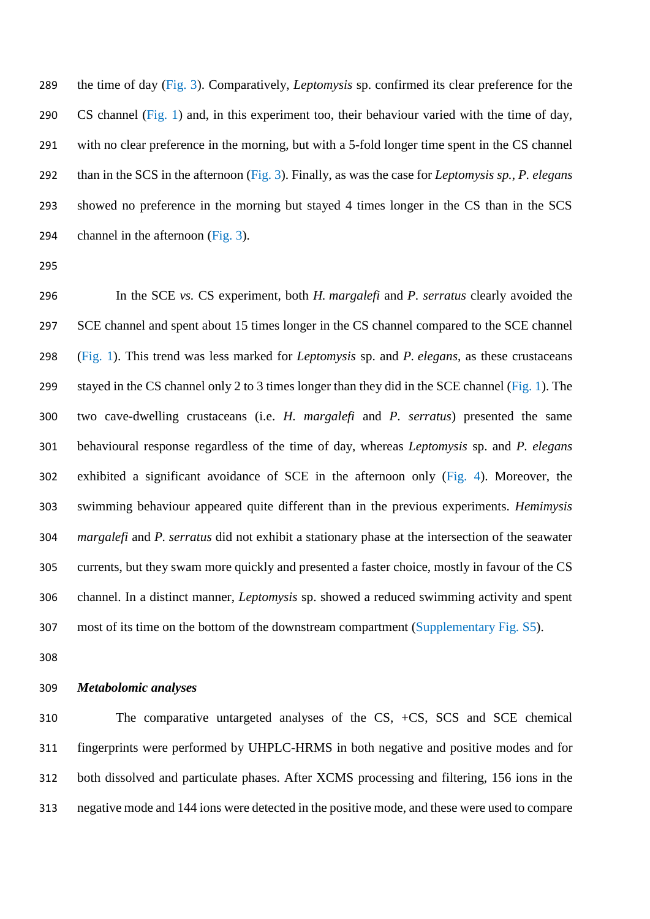the time of day (Fig. 3). Comparatively, *Leptomysis* sp. confirmed its clear preference for the CS channel (Fig. 1) and, in this experiment too, their behaviour varied with the time of day, with no clear preference in the morning, but with a 5-fold longer time spent in the CS channel than in the SCS in the afternoon (Fig. 3). Finally, as was the case for *Leptomysis sp.*, *P. elegans* showed no preference in the morning but stayed 4 times longer in the CS than in the SCS channel in the afternoon (Fig. 3).

 In the SCE *vs.* CS experiment, both *H. margalefi* and *P. serratus* clearly avoided the SCE channel and spent about 15 times longer in the CS channel compared to the SCE channel (Fig. 1). This trend was less marked for *Leptomysis* sp. and *P. elegans*, as these crustaceans stayed in the CS channel only 2 to 3 times longer than they did in the SCE channel (Fig. 1). The two cave-dwelling crustaceans (i.e. *H. margalefi* and *P. serratus*) presented the same behavioural response regardless of the time of day, whereas *Leptomysis* sp. and *P. elegans* exhibited a significant avoidance of SCE in the afternoon only (Fig. 4). Moreover, the swimming behaviour appeared quite different than in the previous experiments. *Hemimysis margalefi* and *P. serratus* did not exhibit a stationary phase at the intersection of the seawater currents, but they swam more quickly and presented a faster choice, mostly in favour of the CS channel. In a distinct manner, *Leptomysis* sp. showed a reduced swimming activity and spent most of its time on the bottom of the downstream compartment (Supplementary Fig. S5).

# *Metabolomic analyses*

 The comparative untargeted analyses of the CS, +CS, SCS and SCE chemical fingerprints were performed by UHPLC-HRMS in both negative and positive modes and for both dissolved and particulate phases. After XCMS processing and filtering, 156 ions in the negative mode and 144 ions were detected in the positive mode, and these were used to compare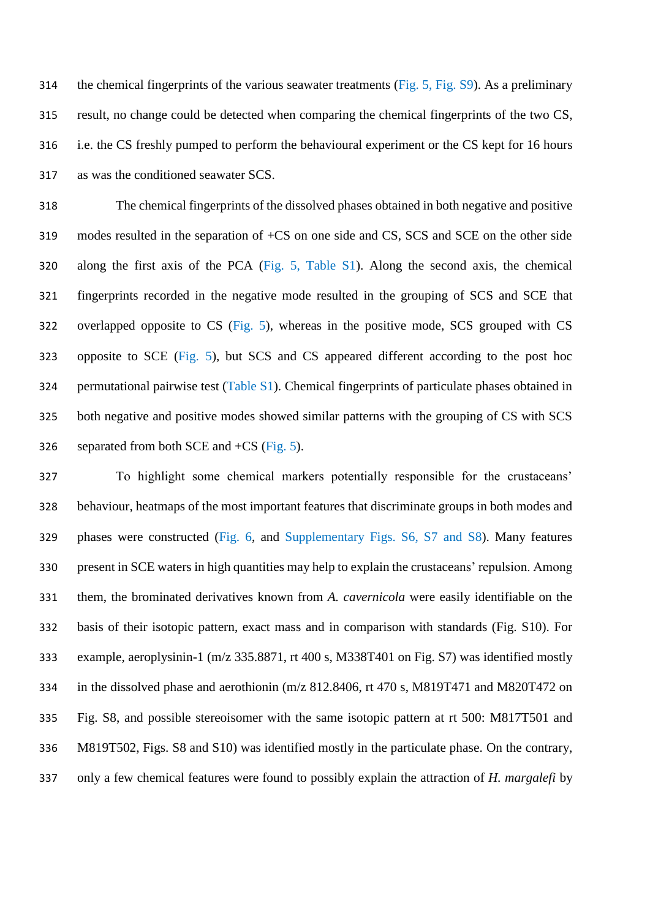the chemical fingerprints of the various seawater treatments (Fig. 5, Fig. S9). As a preliminary result, no change could be detected when comparing the chemical fingerprints of the two CS, i.e. the CS freshly pumped to perform the behavioural experiment or the CS kept for 16 hours as was the conditioned seawater SCS.

 The chemical fingerprints of the dissolved phases obtained in both negative and positive modes resulted in the separation of +CS on one side and CS, SCS and SCE on the other side along the first axis of the PCA (Fig. 5, Table S1). Along the second axis, the chemical fingerprints recorded in the negative mode resulted in the grouping of SCS and SCE that overlapped opposite to CS (Fig. 5), whereas in the positive mode, SCS grouped with CS opposite to SCE (Fig. 5), but SCS and CS appeared different according to the post hoc permutational pairwise test (Table S1). Chemical fingerprints of particulate phases obtained in both negative and positive modes showed similar patterns with the grouping of CS with SCS 326 separated from both SCE and  $+CS$  (Fig. 5).

 To highlight some chemical markers potentially responsible for the crustaceans' behaviour, heatmaps of the most important features that discriminate groups in both modes and phases were constructed (Fig. 6, and Supplementary Figs. S6, S7 and S8). Many features present in SCE waters in high quantities may help to explain the crustaceans' repulsion. Among them, the brominated derivatives known from *A. cavernicola* were easily identifiable on the basis of their isotopic pattern, exact mass and in comparison with standards (Fig. S10). For example, aeroplysinin-1 (m/z 335.8871, rt 400 s, M338T401 on Fig. S7) was identified mostly in the dissolved phase and aerothionin (m/z 812.8406, rt 470 s, M819T471 and M820T472 on Fig. S8, and possible stereoisomer with the same isotopic pattern at rt 500: M817T501 and M819T502, Figs. S8 and S10) was identified mostly in the particulate phase. On the contrary, only a few chemical features were found to possibly explain the attraction of *H. margalefi* by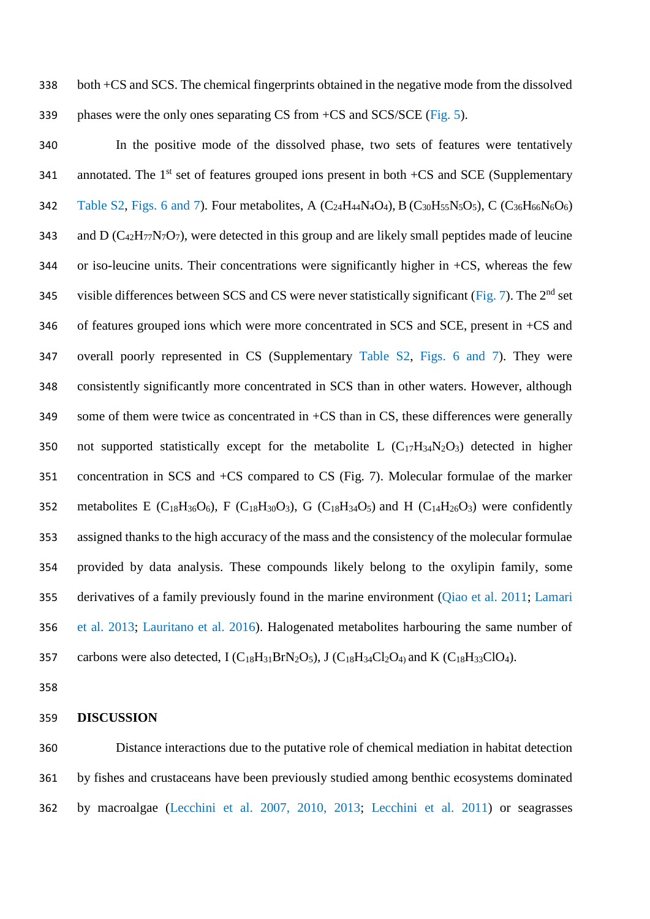both +CS and SCS. The chemical fingerprints obtained in the negative mode from the dissolved phases were the only ones separating CS from +CS and SCS/SCE (Fig. 5).

 In the positive mode of the dissolved phase, two sets of features were tentatively 341 annotated. The  $1<sup>st</sup>$  set of features grouped ions present in both +CS and SCE (Supplementary 342 Table S2, Figs. 6 and 7). Four metabolites, A  $(C_{24}H_{44}N_4O_4)$ , B  $(C_{30}H_{55}N_5O_5)$ , C  $(C_{36}H_{66}N_6O_6)$ 343 and D ( $C_{42}H_{77}N_7O_7$ ), were detected in this group and are likely small peptides made of leucine 344 or iso-leucine units. Their concentrations were significantly higher in  $+CS$ , whereas the few 345 visible differences between SCS and CS were never statistically significant (Fig. 7). The  $2<sup>nd</sup>$  set of features grouped ions which were more concentrated in SCS and SCE, present in +CS and overall poorly represented in CS (Supplementary Table S2, Figs. 6 and 7). They were consistently significantly more concentrated in SCS than in other waters. However, although some of them were twice as concentrated in +CS than in CS, these differences were generally 350 not supported statistically except for the metabolite L  $(C_{17}H_{34}N_2O_3)$  detected in higher concentration in SCS and +CS compared to CS (Fig. 7). Molecular formulae of the marker 352 metabolites E (C<sub>18</sub>H<sub>36</sub>O<sub>6</sub>), F (C<sub>18</sub>H<sub>30</sub>O<sub>3</sub>), G (C<sub>18</sub>H<sub>34</sub>O<sub>5</sub>) and H (C<sub>14</sub>H<sub>26</sub>O<sub>3</sub>) were confidently assigned thanks to the high accuracy of the mass and the consistency of the molecular formulae provided by data analysis. These compounds likely belong to the oxylipin family, some derivatives of a family previously found in the marine environment (Qiao et al. 2011; Lamari et al. 2013; Lauritano et al. 2016). Halogenated metabolites harbouring the same number of 357 carbons were also detected,  $I (C_{18}H_{31}BrN_2O_5)$ ,  $J (C_{18}H_{34}Cl_2O_4)$  and  $K (C_{18}H_{33}ClO_4)$ .

#### **DISCUSSION**

 Distance interactions due to the putative role of chemical mediation in habitat detection by fishes and crustaceans have been previously studied among benthic ecosystems dominated by macroalgae (Lecchini et al. 2007, 2010, 2013; Lecchini et al. 2011) or seagrasses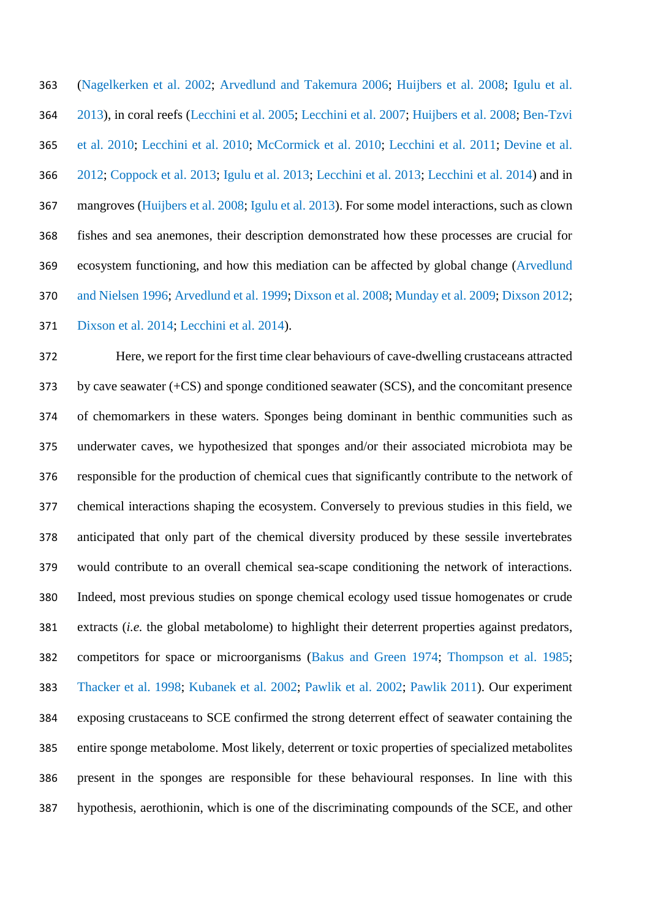(Nagelkerken et al. 2002; Arvedlund and Takemura 2006; Huijbers et al. 2008; Igulu et al. 2013), in coral reefs (Lecchini et al. 2005; Lecchini et al. 2007; Huijbers et al. 2008; Ben-Tzvi et al. 2010; Lecchini et al. 2010; McCormick et al. 2010; Lecchini et al. 2011; Devine et al. 2012; Coppock et al. 2013; Igulu et al. 2013; Lecchini et al. 2013; Lecchini et al. 2014) and in mangroves (Huijbers et al. 2008; Igulu et al. 2013). For some model interactions, such as clown fishes and sea anemones, their description demonstrated how these processes are crucial for ecosystem functioning, and how this mediation can be affected by global change (Arvedlund and Nielsen 1996; Arvedlund et al. 1999; Dixson et al. 2008; Munday et al. 2009; Dixson 2012; Dixson et al. 2014; Lecchini et al. 2014).

 Here, we report for the first time clear behaviours of cave-dwelling crustaceans attracted by cave seawater (+CS) and sponge conditioned seawater (SCS), and the concomitant presence of chemomarkers in these waters. Sponges being dominant in benthic communities such as underwater caves, we hypothesized that sponges and/or their associated microbiota may be responsible for the production of chemical cues that significantly contribute to the network of chemical interactions shaping the ecosystem. Conversely to previous studies in this field, we anticipated that only part of the chemical diversity produced by these sessile invertebrates would contribute to an overall chemical sea-scape conditioning the network of interactions. Indeed, most previous studies on sponge chemical ecology used tissue homogenates or crude extracts (*i.e.* the global metabolome) to highlight their deterrent properties against predators, competitors for space or microorganisms (Bakus and Green 1974; Thompson et al. 1985; Thacker et al. 1998; Kubanek et al. 2002; Pawlik et al. 2002; Pawlik 2011). Our experiment exposing crustaceans to SCE confirmed the strong deterrent effect of seawater containing the entire sponge metabolome. Most likely, deterrent or toxic properties of specialized metabolites present in the sponges are responsible for these behavioural responses. In line with this hypothesis, aerothionin, which is one of the discriminating compounds of the SCE, and other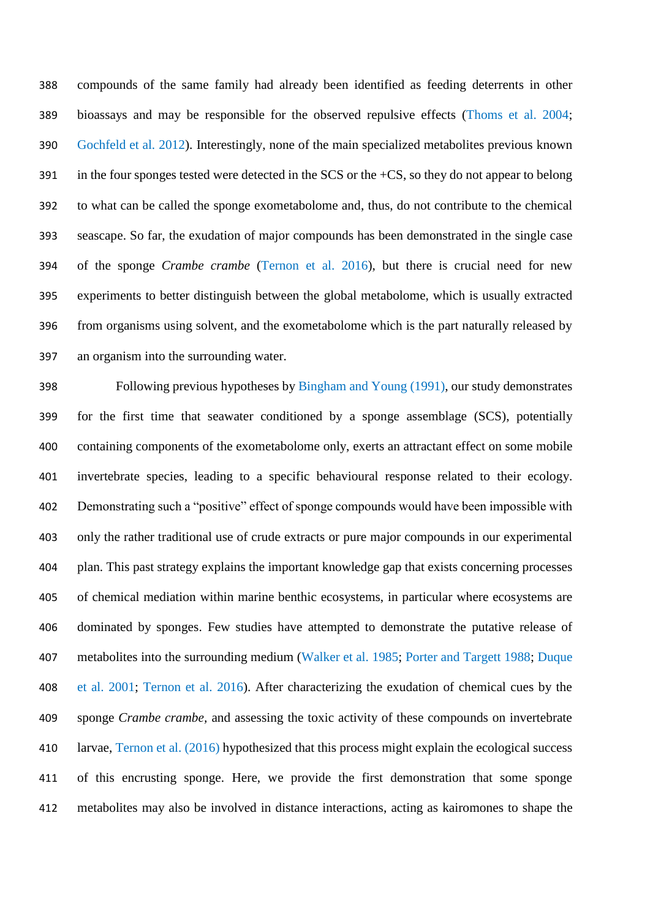compounds of the same family had already been identified as feeding deterrents in other bioassays and may be responsible for the observed repulsive effects (Thoms et al. 2004; Gochfeld et al. 2012). Interestingly, none of the main specialized metabolites previous known in the four sponges tested were detected in the SCS or the +CS, so they do not appear to belong to what can be called the sponge exometabolome and, thus, do not contribute to the chemical seascape. So far, the exudation of major compounds has been demonstrated in the single case of the sponge *Crambe crambe* (Ternon et al. 2016), but there is crucial need for new experiments to better distinguish between the global metabolome, which is usually extracted from organisms using solvent, and the exometabolome which is the part naturally released by an organism into the surrounding water.

 Following previous hypotheses by Bingham and Young (1991), our study demonstrates for the first time that seawater conditioned by a sponge assemblage (SCS), potentially containing components of the exometabolome only, exerts an attractant effect on some mobile invertebrate species, leading to a specific behavioural response related to their ecology. 402 Demonstrating such a "positive" effect of sponge compounds would have been impossible with only the rather traditional use of crude extracts or pure major compounds in our experimental plan. This past strategy explains the important knowledge gap that exists concerning processes of chemical mediation within marine benthic ecosystems, in particular where ecosystems are dominated by sponges. Few studies have attempted to demonstrate the putative release of metabolites into the surrounding medium (Walker et al. 1985; Porter and Targett 1988; Duque et al. 2001; Ternon et al. 2016). After characterizing the exudation of chemical cues by the sponge *Crambe crambe,* and assessing the toxic activity of these compounds on invertebrate larvae, Ternon et al. (2016) hypothesized that this process might explain the ecological success of this encrusting sponge. Here, we provide the first demonstration that some sponge metabolites may also be involved in distance interactions, acting as kairomones to shape the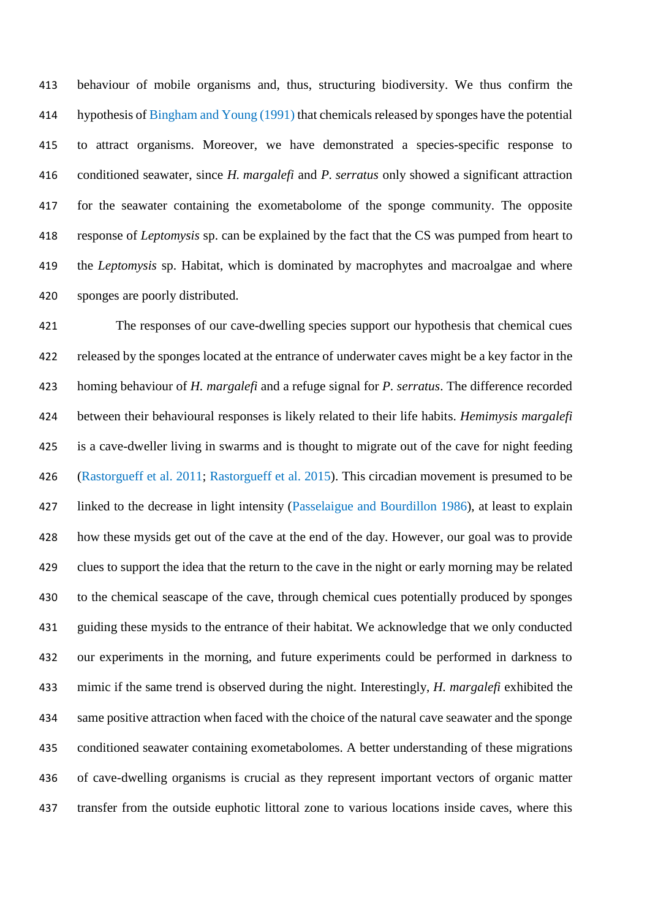behaviour of mobile organisms and, thus, structuring biodiversity. We thus confirm the hypothesis of Bingham and Young (1991) that chemicals released by sponges have the potential to attract organisms. Moreover, we have demonstrated a species-specific response to conditioned seawater, since *H. margalefi* and *P. serratus* only showed a significant attraction for the seawater containing the exometabolome of the sponge community. The opposite response of *Leptomysis* sp. can be explained by the fact that the CS was pumped from heart to the *Leptomysis* sp. Habitat, which is dominated by macrophytes and macroalgae and where sponges are poorly distributed.

 The responses of our cave-dwelling species support our hypothesis that chemical cues released by the sponges located at the entrance of underwater caves might be a key factor in the homing behaviour of *H. margalefi* and a refuge signal for *P. serratus*. The difference recorded between their behavioural responses is likely related to their life habits. *Hemimysis margalefi* is a cave-dweller living in swarms and is thought to migrate out of the cave for night feeding (Rastorgueff et al. 2011; Rastorgueff et al. 2015). This circadian movement is presumed to be linked to the decrease in light intensity (Passelaigue and Bourdillon 1986), at least to explain how these mysids get out of the cave at the end of the day. However, our goal was to provide clues to support the idea that the return to the cave in the night or early morning may be related to the chemical seascape of the cave, through chemical cues potentially produced by sponges guiding these mysids to the entrance of their habitat. We acknowledge that we only conducted our experiments in the morning, and future experiments could be performed in darkness to mimic if the same trend is observed during the night. Interestingly, *H. margalefi* exhibited the same positive attraction when faced with the choice of the natural cave seawater and the sponge conditioned seawater containing exometabolomes. A better understanding of these migrations of cave-dwelling organisms is crucial as they represent important vectors of organic matter transfer from the outside euphotic littoral zone to various locations inside caves, where this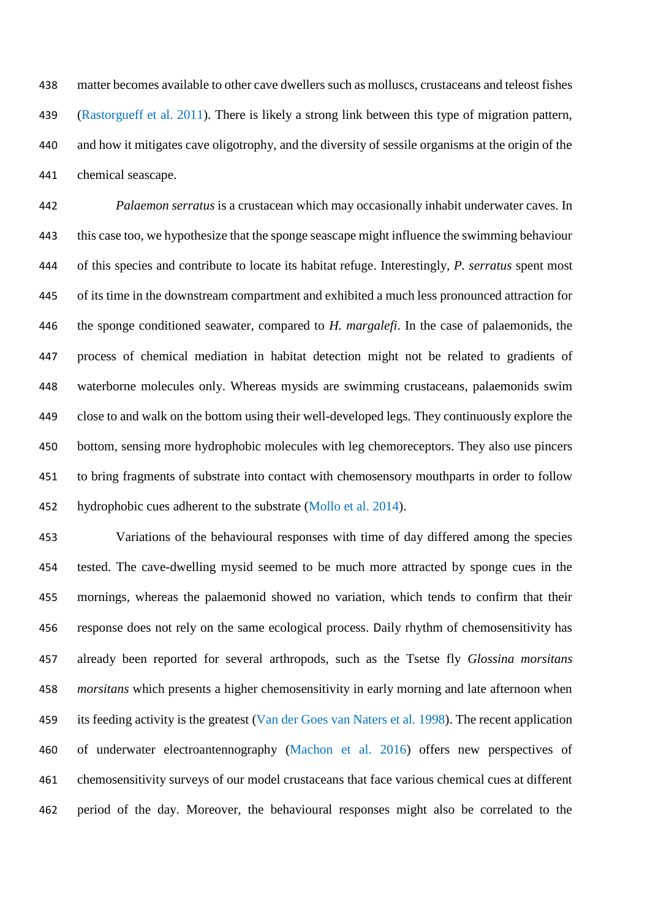matter becomes available to other cave dwellers such as molluscs, crustaceans and teleost fishes (Rastorgueff et al. 2011). There is likely a strong link between this type of migration pattern, and how it mitigates cave oligotrophy, and the diversity of sessile organisms at the origin of the chemical seascape.

 *Palaemon serratus* is a crustacean which may occasionally inhabit underwater caves. In this case too, we hypothesize that the sponge seascape might influence the swimming behaviour of this species and contribute to locate its habitat refuge. Interestingly, *P. serratus* spent most of its time in the downstream compartment and exhibited a much less pronounced attraction for the sponge conditioned seawater, compared to *H. margalefi*. In the case of palaemonids, the process of chemical mediation in habitat detection might not be related to gradients of waterborne molecules only. Whereas mysids are swimming crustaceans, palaemonids swim close to and walk on the bottom using their well-developed legs. They continuously explore the bottom, sensing more hydrophobic molecules with leg chemoreceptors. They also use pincers to bring fragments of substrate into contact with chemosensory mouthparts in order to follow hydrophobic cues adherent to the substrate (Mollo et al. 2014).

 Variations of the behavioural responses with time of day differed among the species tested. The cave-dwelling mysid seemed to be much more attracted by sponge cues in the mornings, whereas the palaemonid showed no variation, which tends to confirm that their response does not rely on the same ecological process. Daily rhythm of chemosensitivity has already been reported for several arthropods, such as the Tsetse fly *Glossina morsitans morsitans* which presents a higher chemosensitivity in early morning and late afternoon when its feeding activity is the greatest (Van der Goes van Naters et al. 1998). The recent application of underwater electroantennography (Machon et al. 2016) offers new perspectives of chemosensitivity surveys of our model crustaceans that face various chemical cues at different period of the day. Moreover, the behavioural responses might also be correlated to the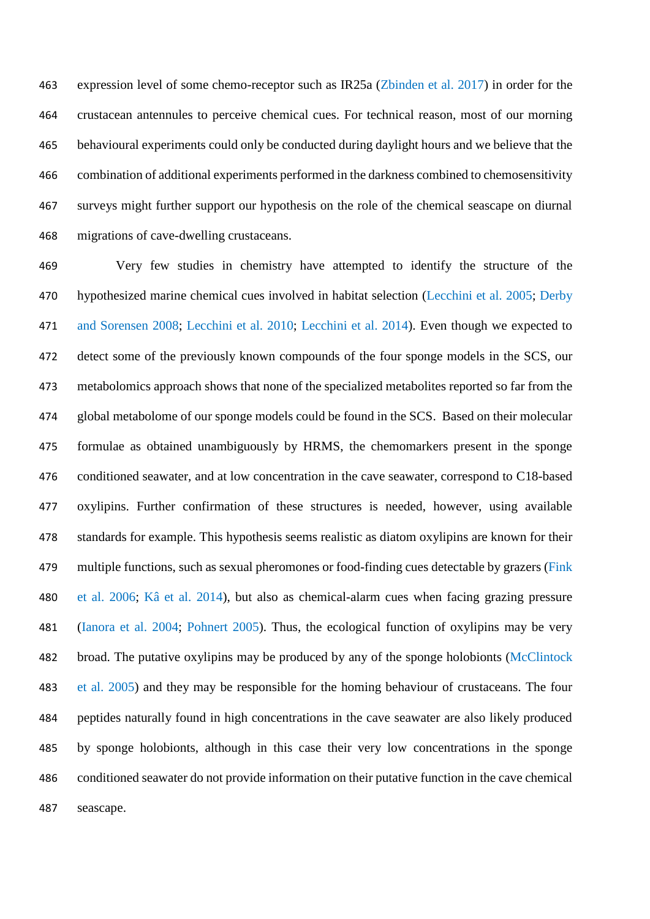expression level of some chemo-receptor such as IR25a (Zbinden et al. 2017) in order for the crustacean antennules to perceive chemical cues. For technical reason, most of our morning behavioural experiments could only be conducted during daylight hours and we believe that the combination of additional experiments performed in the darkness combined to chemosensitivity surveys might further support our hypothesis on the role of the chemical seascape on diurnal migrations of cave-dwelling crustaceans.

 Very few studies in chemistry have attempted to identify the structure of the hypothesized marine chemical cues involved in habitat selection (Lecchini et al. 2005; Derby and Sorensen 2008; Lecchini et al. 2010; Lecchini et al. 2014). Even though we expected to detect some of the previously known compounds of the four sponge models in the SCS, our metabolomics approach shows that none of the specialized metabolites reported so far from the global metabolome of our sponge models could be found in the SCS. Based on their molecular formulae as obtained unambiguously by HRMS, the chemomarkers present in the sponge conditioned seawater, and at low concentration in the cave seawater, correspond to C18-based oxylipins. Further confirmation of these structures is needed, however, using available standards for example. This hypothesis seems realistic as diatom oxylipins are known for their multiple functions, such as sexual pheromones or food-finding cues detectable by grazers (Fink et al. 2006; Kâ et al. 2014), but also as chemical-alarm cues when facing grazing pressure (Ianora et al. 2004; Pohnert 2005). Thus, the ecological function of oxylipins may be very 482 broad. The putative oxylipins may be produced by any of the sponge holobionts (McClintock et al. 2005) and they may be responsible for the homing behaviour of crustaceans. The four peptides naturally found in high concentrations in the cave seawater are also likely produced by sponge holobionts, although in this case their very low concentrations in the sponge conditioned seawater do not provide information on their putative function in the cave chemical seascape.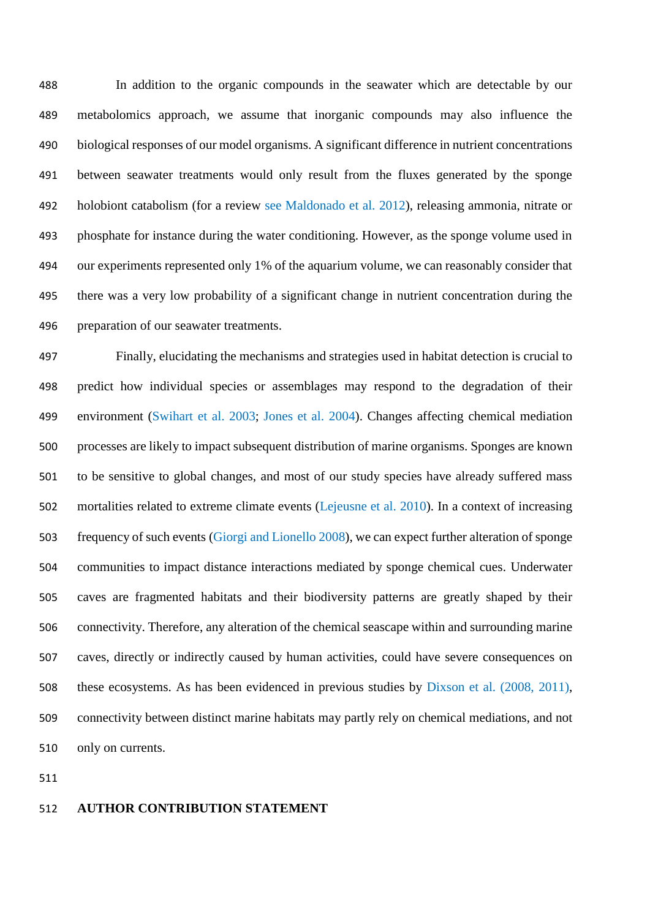In addition to the organic compounds in the seawater which are detectable by our metabolomics approach, we assume that inorganic compounds may also influence the biological responses of our model organisms. A significant difference in nutrient concentrations between seawater treatments would only result from the fluxes generated by the sponge holobiont catabolism (for a review see Maldonado et al. 2012), releasing ammonia, nitrate or phosphate for instance during the water conditioning. However, as the sponge volume used in our experiments represented only 1% of the aquarium volume, we can reasonably consider that there was a very low probability of a significant change in nutrient concentration during the preparation of our seawater treatments.

 Finally, elucidating the mechanisms and strategies used in habitat detection is crucial to predict how individual species or assemblages may respond to the degradation of their environment (Swihart et al. 2003; Jones et al. 2004). Changes affecting chemical mediation processes are likely to impact subsequent distribution of marine organisms. Sponges are known to be sensitive to global changes, and most of our study species have already suffered mass mortalities related to extreme climate events (Lejeusne et al. 2010). In a context of increasing frequency of such events (Giorgi and Lionello 2008), we can expect further alteration of sponge communities to impact distance interactions mediated by sponge chemical cues. Underwater caves are fragmented habitats and their biodiversity patterns are greatly shaped by their connectivity. Therefore, any alteration of the chemical seascape within and surrounding marine caves, directly or indirectly caused by human activities, could have severe consequences on these ecosystems. As has been evidenced in previous studies by Dixson et al. (2008, 2011), connectivity between distinct marine habitats may partly rely on chemical mediations, and not only on currents.

#### **AUTHOR CONTRIBUTION STATEMENT**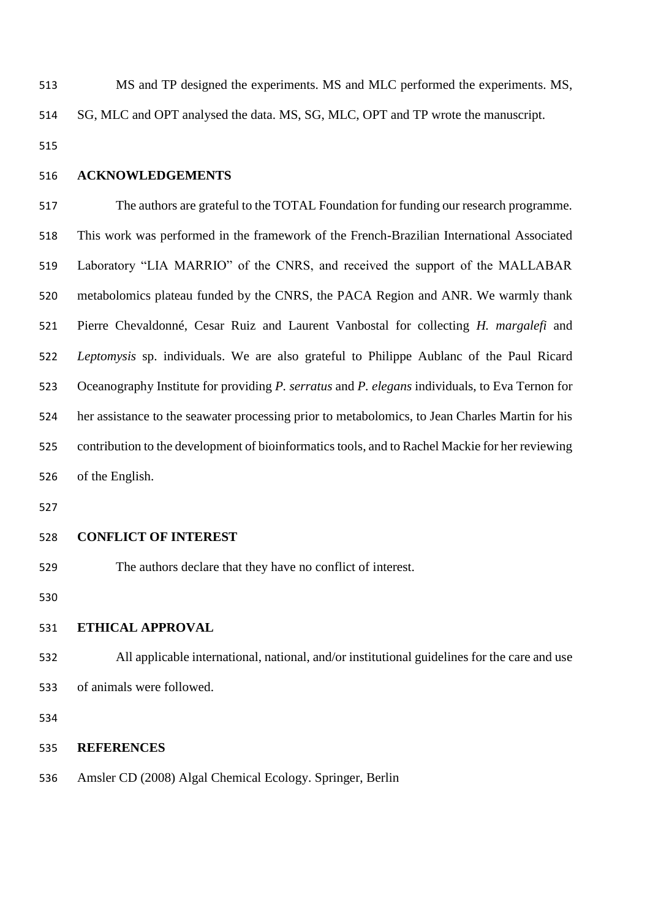- MS and TP designed the experiments. MS and MLC performed the experiments. MS, SG, MLC and OPT analysed the data. MS, SG, MLC, OPT and TP wrote the manuscript.
- **ACKNOWLEDGEMENTS**

 The authors are grateful to the TOTAL Foundation for funding our research programme. This work was performed in the framework of the French-Brazilian International Associated Laboratory "LIA MARRIO" of the CNRS, and received the support of the MALLABAR metabolomics plateau funded by the CNRS, the PACA Region and ANR. We warmly thank Pierre Chevaldonné, Cesar Ruiz and Laurent Vanbostal for collecting *H. margalefi* and *Leptomysis* sp. individuals. We are also grateful to Philippe Aublanc of the Paul Ricard Oceanography Institute for providing *P. serratus* and *P. elegans* individuals, to Eva Ternon for her assistance to the seawater processing prior to metabolomics, to Jean Charles Martin for his contribution to the development of bioinformatics tools, and to Rachel Mackie for her reviewing of the English.

#### **CONFLICT OF INTEREST**

The authors declare that they have no conflict of interest.

# **ETHICAL APPROVAL**

 All applicable international, national, and/or institutional guidelines for the care and use of animals were followed.

### **REFERENCES**

Amsler CD (2008) Algal Chemical Ecology. Springer, Berlin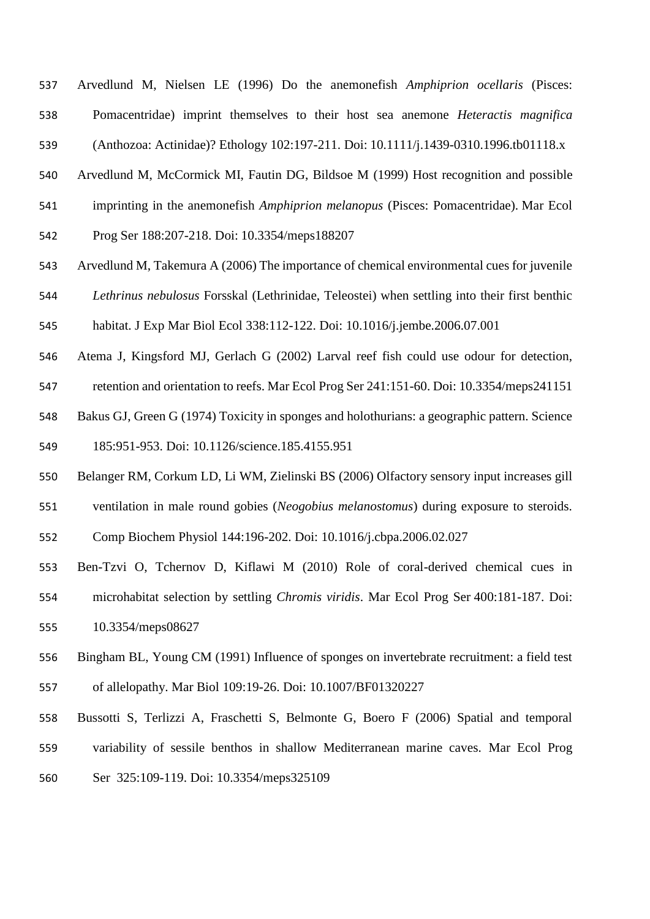Arvedlund M, Nielsen LE (1996) Do the anemonefish *Amphiprion ocellaris* (Pisces: Pomacentridae) imprint themselves to their host sea anemone *Heteractis magnifica* (Anthozoa: Actinidae)? Ethology 102:197-211. Doi: 10.1111/j.1439-0310.1996.tb01118.x

Arvedlund M, McCormick MI, Fautin DG, Bildsoe M (1999) Host recognition and possible

- imprinting in the anemonefish *Amphiprion melanopus* (Pisces: Pomacentridae). Mar Ecol
- Prog Ser 188:207-218. Doi: 10.3354/meps188207
- Arvedlund M, Takemura A (2006) The importance of chemical environmental cues for juvenile *Lethrinus nebulosus* Forsskal (Lethrinidae, Teleostei) when settling into their first benthic
- habitat. J Exp Mar Biol Ecol 338:112-122. Doi: 10.1016/j.jembe.2006.07.001
- Atema J, Kingsford MJ, Gerlach G (2002) Larval reef fish could use odour for detection,
- retention and orientation to reefs. Mar Ecol Prog Ser 241:151-60. Doi: 10.3354/meps241151
- Bakus GJ, Green G (1974) Toxicity in sponges and holothurians: a geographic pattern. Science 185:951-953. Doi: 10.1126/science.185.4155.951
- Belanger RM, Corkum LD, Li WM, Zielinski BS (2006) Olfactory sensory input increases gill
- ventilation in male round gobies (*Neogobius melanostomus*) during exposure to steroids.
- Comp Biochem Physiol 144:196-202. Doi: 10.1016/j.cbpa.2006.02.027
- Ben-Tzvi O, Tchernov D, Kiflawi M (2010) Role of coral-derived chemical cues in microhabitat selection by settling *Chromis viridis*. Mar Ecol Prog Ser 400:181-187. Doi: 10.3354/meps08627
- Bingham BL, Young CM (1991) Influence of sponges on invertebrate recruitment: a field test of allelopathy. Mar Biol 109:19-26. Doi: 10.1007/BF01320227
- Bussotti S, Terlizzi A, Fraschetti S, Belmonte G, Boero F (2006) Spatial and temporal
- variability of sessile benthos in shallow Mediterranean marine caves. Mar Ecol Prog
- Ser 325:109-119. Doi: 10.3354/meps325109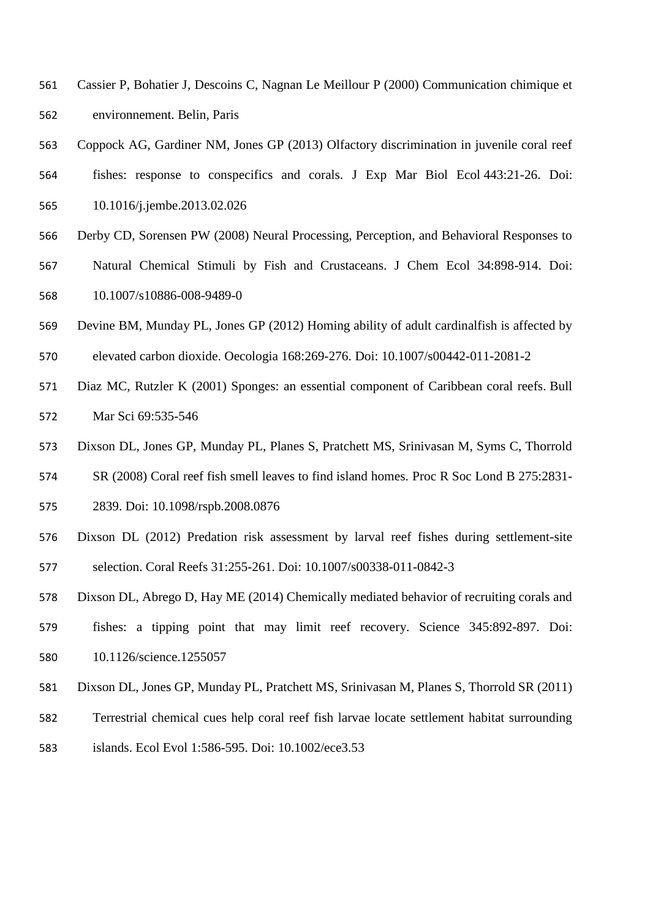- Cassier P, Bohatier J, Descoins C, Nagnan Le Meillour P (2000) Communication chimique et environnement. Belin, Paris
- Coppock AG, Gardiner NM, Jones GP (2013) Olfactory discrimination in juvenile coral reef
- fishes: response to conspecifics and corals. J Exp Mar Biol Ecol 443:21-26. Doi: 10.1016/j.jembe.2013.02.026
- Derby CD, Sorensen PW (2008) Neural Processing, Perception, and Behavioral Responses to Natural Chemical Stimuli by Fish and Crustaceans. J Chem Ecol 34:898-914. Doi:
- 10.1007/s10886-008-9489-0
- Devine BM, Munday PL, Jones GP (2012) Homing ability of adult cardinalfish is affected by
- elevated carbon dioxide. Oecologia 168:269-276. Doi: 10.1007/s00442-011-2081-2
- Diaz MC, Rutzler K (2001) Sponges: an essential component of Caribbean coral reefs. Bull Mar Sci 69:535-546
- Dixson DL, Jones GP, Munday PL, Planes S, Pratchett MS, Srinivasan M, Syms C, Thorrold
- SR (2008) Coral reef fish smell leaves to find island homes. Proc R Soc Lond B 275:2831-
- 2839. Doi: 10.1098/rspb.2008.0876
- Dixson DL (2012) Predation risk assessment by larval reef fishes during settlement-site selection. Coral Reefs 31:255-261. Doi: 10.1007/s00338-011-0842-3
- Dixson DL, Abrego D, Hay ME (2014) Chemically mediated behavior of recruiting corals and fishes: a tipping point that may limit reef recovery. Science 345:892-897. Doi: 10.1126/science.1255057
- Dixson DL, Jones GP, Munday PL, Pratchett MS, Srinivasan M, Planes S, Thorrold SR (2011)
- Terrestrial chemical cues help coral reef fish larvae locate settlement habitat surrounding
- islands. Ecol Evol 1:586-595. Doi: 10.1002/ece3.53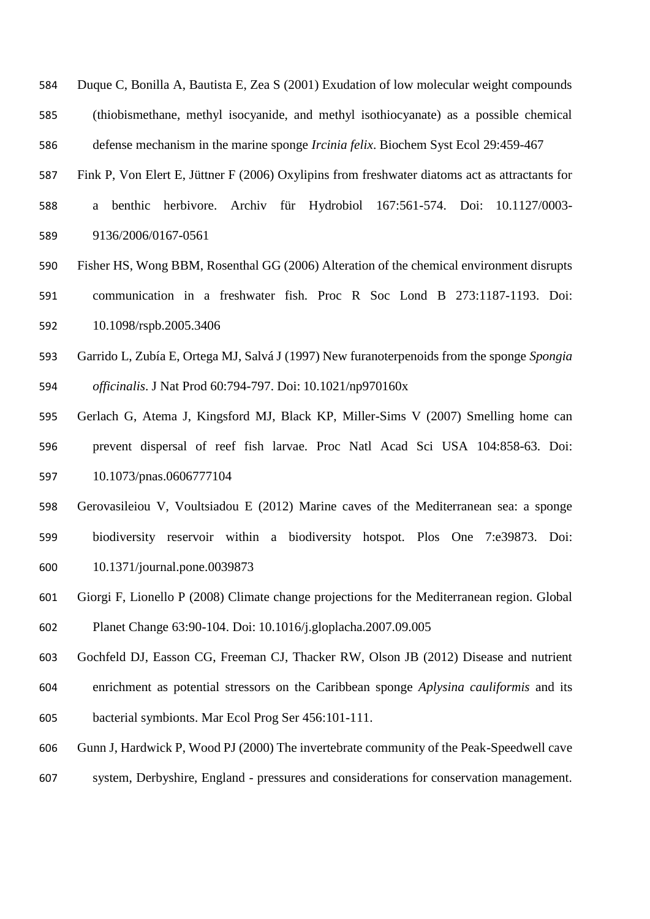- Duque C, Bonilla A, Bautista E, Zea S (2001) Exudation of low molecular weight compounds (thiobismethane, methyl isocyanide, and methyl isothiocyanate) as a possible chemical defense mechanism in the marine sponge *Ircinia felix*. Biochem Syst Ecol 29:459-467
- Fink P, Von Elert E, Jüttner F (2006) Oxylipins from freshwater diatoms act as attractants for
- a benthic herbivore. Archiv für Hydrobiol 167:561-574. Doi: 10.1127/0003- 9136/2006/0167-0561
- Fisher HS, Wong BBM, Rosenthal GG (2006) Alteration of the chemical environment disrupts communication in a freshwater fish. Proc R Soc Lond B 273:1187-1193. Doi: 10.1098/rspb.2005.3406
- Garrido L, Zubía E, Ortega MJ, Salvá J (1997) New furanoterpenoids from the sponge *Spongia officinalis*. J Nat Prod 60:794-797. Doi: 10.1021/np970160x
- Gerlach G, Atema J, Kingsford MJ, Black KP, Miller-Sims V (2007) Smelling home can prevent dispersal of reef fish larvae. Proc Natl Acad Sci USA 104:858-63. Doi: 10.1073/pnas.0606777104
- Gerovasileiou V, Voultsiadou E (2012) Marine caves of the Mediterranean sea: a sponge biodiversity reservoir within a biodiversity hotspot. Plos One 7:e39873. Doi: 10.1371/journal.pone.0039873
- Giorgi F, Lionello P (2008) Climate change projections for the Mediterranean region. Global Planet Change 63:90-104. Doi: 10.1016/j.gloplacha.2007.09.005
- Gochfeld DJ, Easson CG, Freeman CJ, Thacker RW, Olson JB (2012) Disease and nutrient enrichment as potential stressors on the Caribbean sponge *Aplysina cauliformis* and its bacterial symbionts. Mar Ecol Prog Ser 456:101-111.
- Gunn J, Hardwick P, Wood PJ (2000) The invertebrate community of the Peak-Speedwell cave
- system, Derbyshire, England pressures and considerations for conservation management.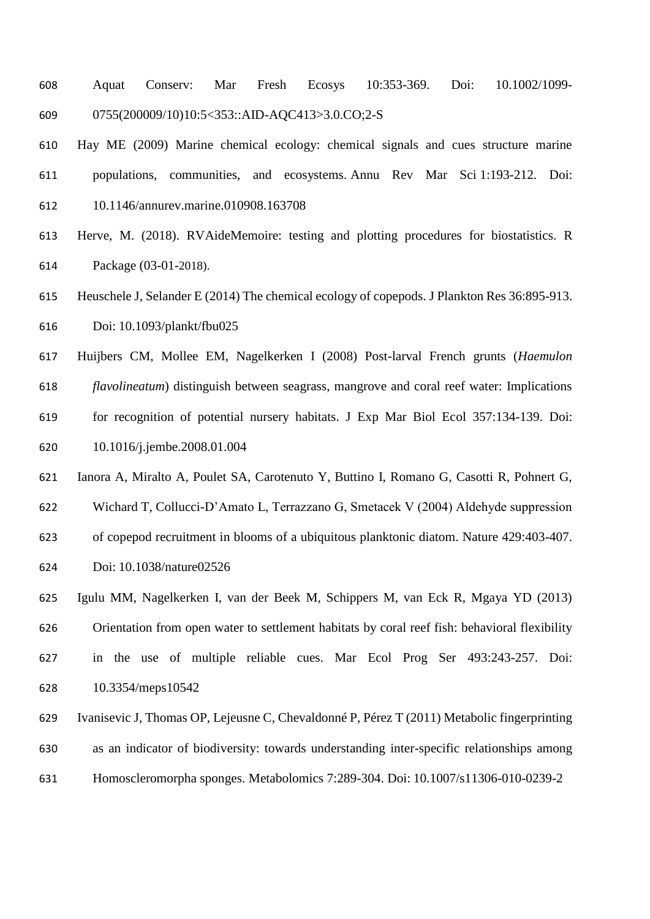- Aquat Conserv: Mar Fresh Ecosys 10:353-369. Doi: 10.1002/1099- 0755(200009/10)10:5<353::AID-AQC413>3.0.CO;2-S
- Hay ME (2009) Marine chemical ecology: chemical signals and cues structure marine populations, communities, and ecosystems. Annu Rev Mar Sci 1:193-212. Doi: 10.1146/annurev.marine.010908.163708
- Herve, M. (2018). RVAideMemoire: testing and plotting procedures for biostatistics. R Package (03-01-2018).
- Heuschele J, Selander E (2014) The chemical ecology of copepods. J Plankton Res 36:895-913. Doi: 10.1093/plankt/fbu025
- Huijbers CM, Mollee EM, Nagelkerken I (2008) Post-larval French grunts (*Haemulon*
- *flavolineatum*) distinguish between seagrass, mangrove and coral reef water: Implications for recognition of potential nursery habitats. J Exp Mar Biol Ecol 357:134-139. Doi:
- 10.1016/j.jembe.2008.01.004
- Ianora A, Miralto A, Poulet SA, Carotenuto Y, Buttino I, Romano G, Casotti R, Pohnert G, Wichard T, Collucci-D'Amato L, Terrazzano G, Smetacek V (2004) Aldehyde suppression of copepod recruitment in blooms of a ubiquitous planktonic diatom. Nature 429:403-407. Doi: 10.1038/nature02526
- Igulu MM, Nagelkerken I, van der Beek M, Schippers M, van Eck R, Mgaya YD (2013) Orientation from open water to settlement habitats by coral reef fish: behavioral flexibility in the use of multiple reliable cues. Mar Ecol Prog Ser 493:243-257. Doi: 10.3354/meps10542
- Ivanisevic J, Thomas OP, Lejeusne C, Chevaldonné P, Pérez T (2011) Metabolic fingerprinting as an indicator of biodiversity: towards understanding inter-specific relationships among Homoscleromorpha sponges. Metabolomics 7:289-304. Doi: 10.1007/s11306-010-0239-2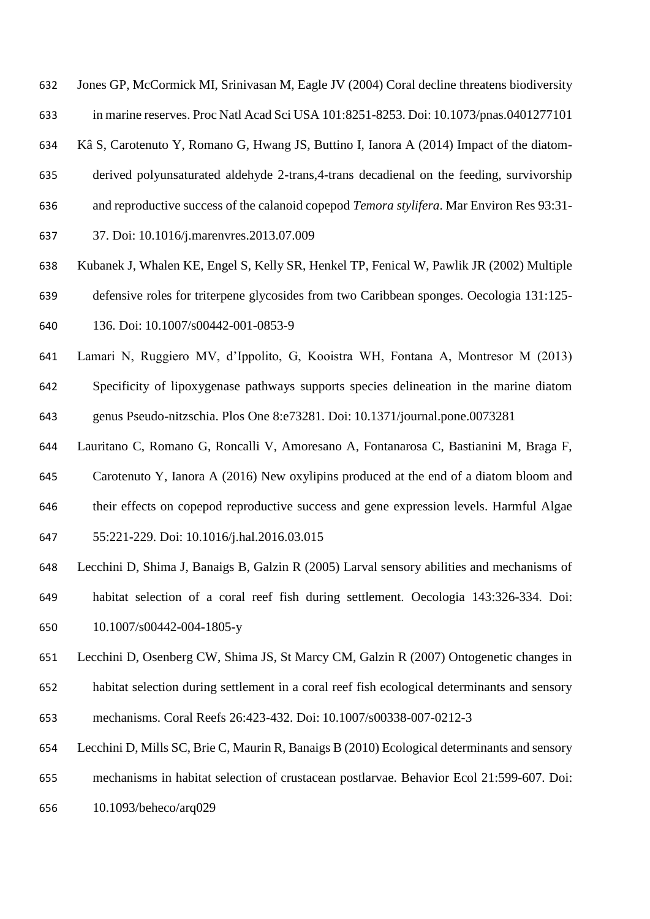Jones GP, McCormick MI, Srinivasan M, Eagle JV (2004) Coral decline threatens biodiversity

in marine reserves. Proc Natl Acad Sci USA 101:8251-8253. Doi: 10.1073/pnas.0401277101

Kâ S, Carotenuto Y, Romano G, Hwang JS, Buttino I, Ianora A (2014) Impact of the diatom-

- derived polyunsaturated aldehyde 2-trans,4-trans decadienal on the feeding, survivorship
- and reproductive success of the calanoid copepod *Temora stylifera*. Mar Environ Res 93:31-
- 37. Doi: 10.1016/j.marenvres.2013.07.009
- Kubanek J, Whalen KE, Engel S, Kelly SR, Henkel TP, Fenical W, Pawlik JR (2002) Multiple defensive roles for triterpene glycosides from two Caribbean sponges. Oecologia 131:125- 136. Doi: 10.1007/s00442-001-0853-9
- Lamari N, Ruggiero MV, d'Ippolito, G, Kooistra WH, Fontana A, Montresor M (2013)
- Specificity of lipoxygenase pathways supports species delineation in the marine diatom genus Pseudo-nitzschia. Plos One 8:e73281. Doi: 10.1371/journal.pone.0073281
- Lauritano C, Romano G, Roncalli V, Amoresano A, Fontanarosa C, Bastianini M, Braga F,
- Carotenuto Y, Ianora A (2016) New oxylipins produced at the end of a diatom bloom and
- their effects on copepod reproductive success and gene expression levels. Harmful Algae
- 55:221-229. Doi: 10.1016/j.hal.2016.03.015
- Lecchini D, Shima J, Banaigs B, Galzin R (2005) Larval sensory abilities and mechanisms of habitat selection of a coral reef fish during settlement. Oecologia 143:326-334. Doi: 10.1007/s00442-004-1805-y
- Lecchini D, Osenberg CW, Shima JS, St Marcy CM, Galzin R (2007) Ontogenetic changes in
- habitat selection during settlement in a coral reef fish ecological determinants and sensory mechanisms. Coral Reefs 26:423-432. Doi: 10.1007/s00338-007-0212-3
- Lecchini D, Mills SC, Brie C, Maurin R, Banaigs B (2010) Ecological determinants and sensory
- mechanisms in habitat selection of crustacean postlarvae. Behavior Ecol 21:599-607. Doi:
- 10.1093/beheco/arq029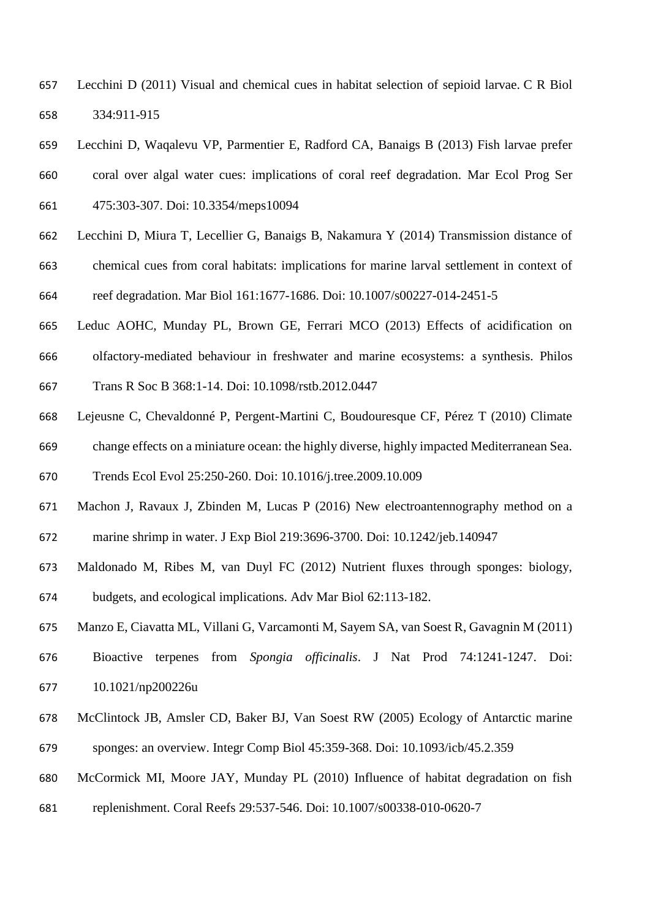- Lecchini D (2011) Visual and chemical cues in habitat selection of sepioid larvae. C R Biol 334:911-915
- Lecchini D, Waqalevu VP, Parmentier E, Radford CA, Banaigs B (2013) Fish larvae prefer
- coral over algal water cues: implications of coral reef degradation. Mar Ecol Prog Ser 475:303-307. Doi: 10.3354/meps10094
- Lecchini D, Miura T, Lecellier G, Banaigs B, Nakamura Y (2014) Transmission distance of chemical cues from coral habitats: implications for marine larval settlement in context of reef degradation. Mar Biol 161:1677-1686. Doi: 10.1007/s00227-014-2451-5
- Leduc AOHC, Munday PL, Brown GE, Ferrari MCO (2013) Effects of acidification on
- olfactory-mediated behaviour in freshwater and marine ecosystems: a synthesis. Philos
- Trans R Soc B 368:1-14. Doi: 10.1098/rstb.2012.0447
- Lejeusne C, Chevaldonné P, Pergent-Martini C, Boudouresque CF, Pérez T (2010) Climate change effects on a miniature ocean: the highly diverse, highly impacted Mediterranean Sea.
- Trends Ecol Evol 25:250-260. Doi: 10.1016/j.tree.2009.10.009
- Machon J, Ravaux J, Zbinden M, Lucas P (2016) New electroantennography method on a marine shrimp in water. J Exp Biol 219:3696-3700. Doi: 10.1242/jeb.140947
- Maldonado M, Ribes M, van Duyl FC (2012) Nutrient fluxes through sponges: biology, budgets, and ecological implications. Adv Mar Biol 62:113-182.
- Manzo E, Ciavatta ML, Villani G, Varcamonti M, Sayem SA, van Soest R, Gavagnin M (2011)
- Bioactive terpenes from *Spongia officinalis*. J Nat Prod 74:1241-1247. Doi: 10.1021/np200226u
- McClintock JB, Amsler CD, Baker BJ, Van Soest RW (2005) Ecology of Antarctic marine sponges: an overview. Integr Comp Biol 45:359-368. Doi: 10.1093/icb/45.2.359
- McCormick MI, Moore JAY, Munday PL (2010) Influence of habitat degradation on fish
- replenishment. Coral Reefs 29:537-546. Doi: 10.1007/s00338-010-0620-7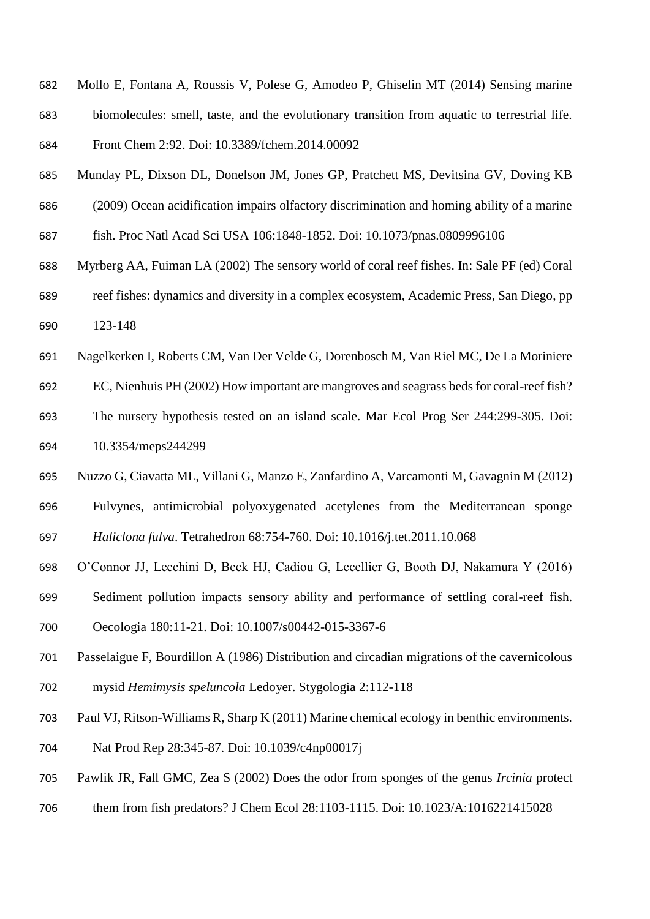- Mollo E, Fontana A, Roussis V, Polese G, Amodeo P, Ghiselin MT (2014) Sensing marine biomolecules: smell, taste, and the evolutionary transition from aquatic to terrestrial life. Front Chem 2:92. Doi: 10.3389/fchem.2014.00092
- Munday PL, Dixson DL, Donelson JM, Jones GP, Pratchett MS, Devitsina GV, Doving KB
- (2009) Ocean acidification impairs olfactory discrimination and homing ability of a marine
- fish. Proc Natl Acad Sci USA 106:1848-1852. Doi: 10.1073/pnas.0809996106
- Myrberg AA, Fuiman LA (2002) The sensory world of coral reef fishes. In: Sale PF (ed) Coral
- reef fishes: dynamics and diversity in a complex ecosystem, Academic Press, San Diego, pp 123-148
- Nagelkerken I, Roberts CM, Van Der Velde G, Dorenbosch M, Van Riel MC, De La Moriniere
- EC, Nienhuis PH (2002) How important are mangroves and seagrass beds for coral-reef fish?
- The nursery hypothesis tested on an island scale. Mar Ecol Prog Ser 244:299-305. Doi: 10.3354/meps244299
- Nuzzo G, Ciavatta ML, Villani G, Manzo E, Zanfardino A, Varcamonti M, Gavagnin M (2012)
- Fulvynes, antimicrobial polyoxygenated acetylenes from the Mediterranean sponge
- *Haliclona fulva*. Tetrahedron 68:754-760. Doi: 10.1016/j.tet.2011.10.068
- O'Connor JJ, Lecchini D, Beck HJ, Cadiou G, Lecellier G, Booth DJ, Nakamura Y (2016)
- Sediment pollution impacts sensory ability and performance of settling coral-reef fish.
- Oecologia 180:11-21. Doi: 10.1007/s00442-015-3367-6
- Passelaigue F, Bourdillon A (1986) Distribution and circadian migrations of the cavernicolous mysid *Hemimysis speluncola* Ledoyer. Stygologia 2:112-118
- Paul VJ, Ritson-Williams R, Sharp K (2011) Marine chemical ecology in benthic environments.
- Nat Prod Rep 28:345-87. Doi: 10.1039/c4np00017j
- Pawlik JR, Fall GMC, Zea S (2002) Does the odor from sponges of the genus *Ircinia* protect
- them from fish predators? J Chem Ecol 28:1103-1115. Doi: 10.1023/A:1016221415028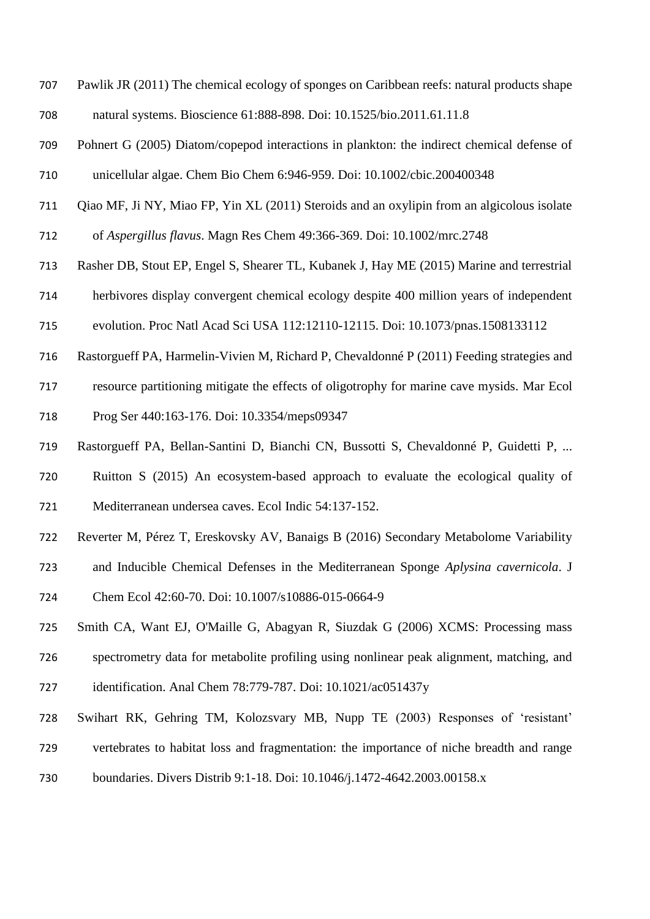- Pawlik JR (2011) The chemical ecology of sponges on Caribbean reefs: natural products shape natural systems. Bioscience 61:888-898. Doi: 10.1525/bio.2011.61.11.8
- Pohnert G (2005) Diatom/copepod interactions in plankton: the indirect chemical defense of unicellular algae. Chem Bio Chem 6:946-959. Doi: 10.1002/cbic.200400348
- Qiao MF, Ji NY, Miao FP, Yin XL (2011) Steroids and an oxylipin from an algicolous isolate of *Aspergillus flavus*. Magn Res Chem 49:366-369. Doi: 10.1002/mrc.2748
- Rasher DB, Stout EP, Engel S, Shearer TL, Kubanek J, Hay ME (2015) Marine and terrestrial
- herbivores display convergent chemical ecology despite 400 million years of independent
- evolution. Proc Natl Acad Sci USA 112:12110-12115. Doi: 10.1073/pnas.1508133112
- Rastorgueff PA, Harmelin-Vivien M, Richard P, Chevaldonné P (2011) Feeding strategies and
- resource partitioning mitigate the effects of oligotrophy for marine cave mysids. Mar Ecol Prog Ser 440:163-176. Doi: 10.3354/meps09347
- Rastorgueff PA, Bellan-Santini D, Bianchi CN, Bussotti S, Chevaldonné P, Guidetti P, ...
- Ruitton S (2015) An ecosystem-based approach to evaluate the ecological quality of Mediterranean undersea caves. Ecol Indic 54:137-152.
- Reverter M, Pérez T, Ereskovsky AV, Banaigs B (2016) Secondary Metabolome Variability
- and Inducible Chemical Defenses in the Mediterranean Sponge *Aplysina cavernicola*. J
- Chem Ecol 42:60-70. Doi: 10.1007/s10886-015-0664-9
- Smith CA, Want EJ, O'Maille G, Abagyan R, Siuzdak G (2006) XCMS: Processing mass
- spectrometry data for metabolite profiling using nonlinear peak alignment, matching, and
- identification. Anal Chem 78:779-787. Doi: 10.1021/ac051437y
- Swihart RK, Gehring TM, Kolozsvary MB, Nupp TE (2003) Responses of 'resistant' vertebrates to habitat loss and fragmentation: the importance of niche breadth and range
- boundaries. Divers Distrib 9:1-18. Doi: 10.1046/j.1472-4642.2003.00158.x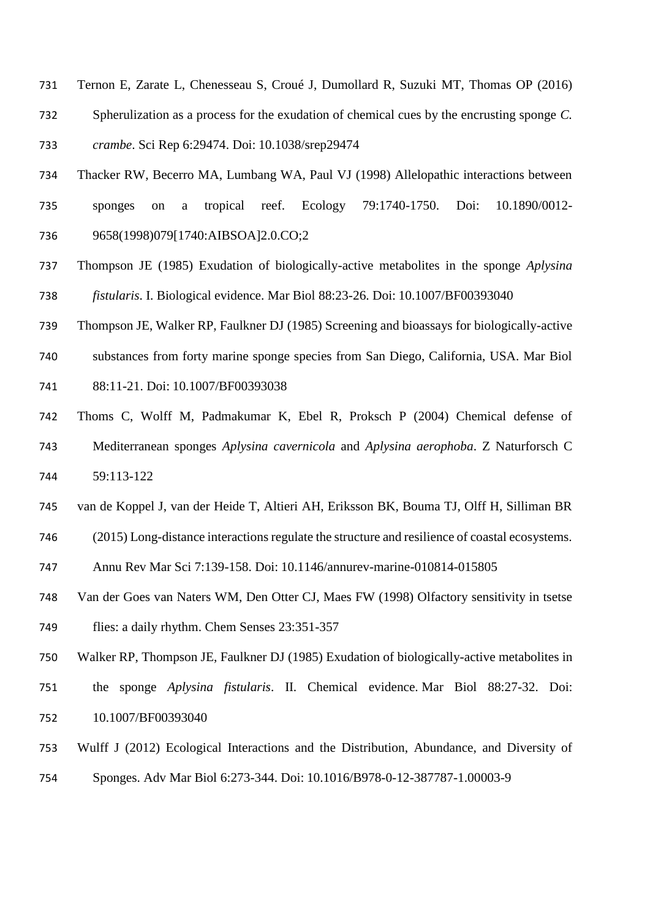- Ternon E, Zarate L, Chenesseau S, Croué J, Dumollard R, Suzuki MT, Thomas OP (2016) Spherulization as a process for the exudation of chemical cues by the encrusting sponge *C. crambe*. Sci Rep 6:29474. Doi: 10.1038/srep29474
- Thacker RW, Becerro MA, Lumbang WA, Paul VJ (1998) Allelopathic interactions between sponges on a tropical reef. Ecology 79:1740-1750. Doi: 10.1890/0012- 9658(1998)079[1740:AIBSOA]2.0.CO;2
- Thompson JE (1985) Exudation of biologically-active metabolites in the sponge *Aplysina fistularis*. I. Biological evidence. Mar Biol 88:23-26. Doi: 10.1007/BF00393040
- Thompson JE, Walker RP, Faulkner DJ (1985) Screening and bioassays for biologically-active
- substances from forty marine sponge species from San Diego, California, USA. Mar Biol
- 88:11-21. Doi: 10.1007/BF00393038
- Thoms C, Wolff M, Padmakumar K, Ebel R, Proksch P (2004) Chemical defense of Mediterranean sponges *Aplysina cavernicola* and *Aplysina aerophoba*. Z Naturforsch C 59:113-122
- van de Koppel J, van der Heide T, Altieri AH, Eriksson BK, Bouma TJ, Olff H, Silliman BR
- (2015) Long-distance interactions regulate the structure and resilience of coastal ecosystems.
- Annu Rev Mar Sci 7:139-158. Doi: 10.1146/annurev-marine-010814-015805
- Van der Goes van Naters WM, Den Otter CJ, Maes FW (1998) Olfactory sensitivity in tsetse flies: a daily rhythm. Chem Senses 23:351-357
- Walker RP, Thompson JE, Faulkner DJ (1985) Exudation of biologically-active metabolites in the sponge *Aplysina fistularis*. II. Chemical evidence. Mar Biol 88:27-32. Doi: 10.1007/BF00393040
- Wulff J (2012) Ecological Interactions and the Distribution, Abundance, and Diversity of Sponges. Adv Mar Biol 6:273-344. Doi: 10.1016/B978-0-12-387787-1.00003-9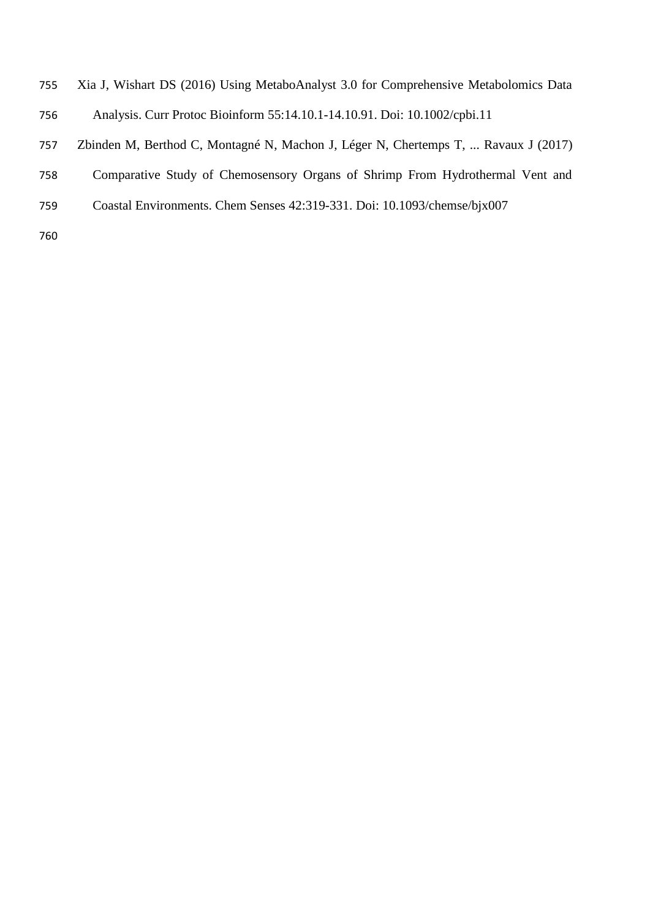- Xia J, Wishart DS (2016) Using MetaboAnalyst 3.0 for Comprehensive Metabolomics Data
- Analysis. Curr Protoc Bioinform 55:14.10.1-14.10.91. Doi: 10.1002/cpbi.11
- Zbinden M, Berthod C, Montagné N, Machon J, Léger N, Chertemps T, ... Ravaux J (2017)
- Comparative Study of Chemosensory Organs of Shrimp From Hydrothermal Vent and
- Coastal Environments. Chem Senses 42:319-331. Doi: 10.1093/chemse/bjx007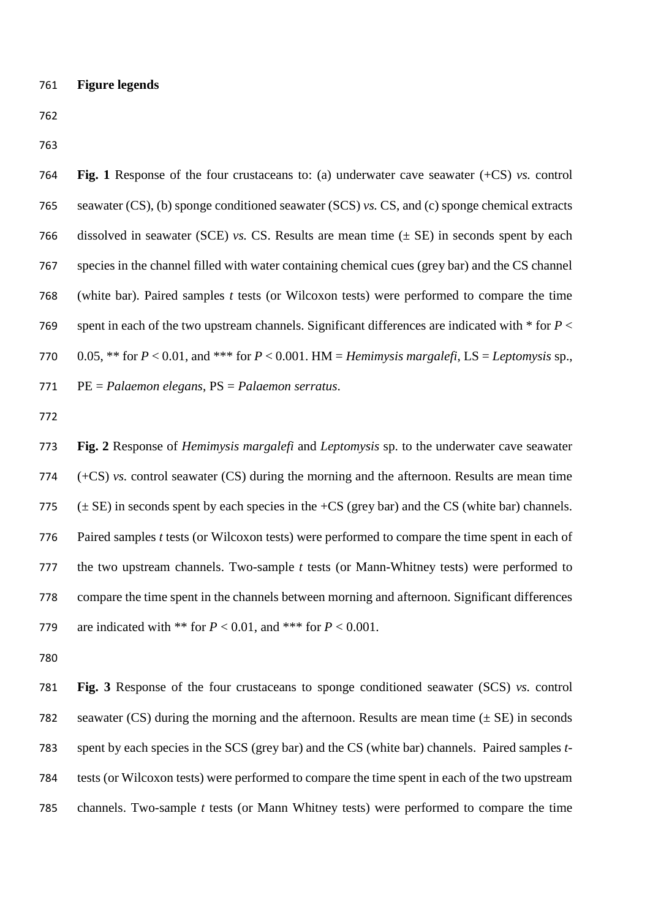**Fig. 1** Response of the four crustaceans to: (a) underwater cave seawater (+CS) *vs.* control seawater (CS), (b) sponge conditioned seawater (SCS) *vs.* CS, and (c) sponge chemical extracts dissolved in seawater (SCE) *vs.* CS. Results are mean time (± SE) in seconds spent by each species in the channel filled with water containing chemical cues (grey bar) and the CS channel (white bar). Paired samples *t* tests (or Wilcoxon tests) were performed to compare the time spent in each of the two upstream channels. Significant differences are indicated with \* for *P* < 770 0.05, \*\* for  $P < 0.01$ , and \*\*\* for  $P < 0.001$ . HM = *Hemimysis margalefi*, LS = *Leptomysis* sp., PE = *Palaemon elegans*, PS = *Palaemon serratus*.

 **Fig. 2** Response of *Hemimysis margalefi* and *Leptomysis* sp. to the underwater cave seawater (+CS) *vs.* control seawater (CS) during the morning and the afternoon. Results are mean time  $(\pm SE)$  in seconds spent by each species in the  $+CS$  (grey bar) and the CS (white bar) channels. Paired samples *t* tests (or Wilcoxon tests) were performed to compare the time spent in each of the two upstream channels. Two-sample *t* tests (or Mann-Whitney tests) were performed to compare the time spent in the channels between morning and afternoon. Significant differences 779 are indicated with \*\* for  $P < 0.01$ , and \*\*\* for  $P < 0.001$ .

 **Fig. 3** Response of the four crustaceans to sponge conditioned seawater (SCS) *vs.* control 782 seawater (CS) during the morning and the afternoon. Results are mean time  $(\pm SE)$  in seconds spent by each species in the SCS (grey bar) and the CS (white bar) channels. Paired samples *t*- tests (or Wilcoxon tests) were performed to compare the time spent in each of the two upstream channels. Two-sample *t* tests (or Mann Whitney tests) were performed to compare the time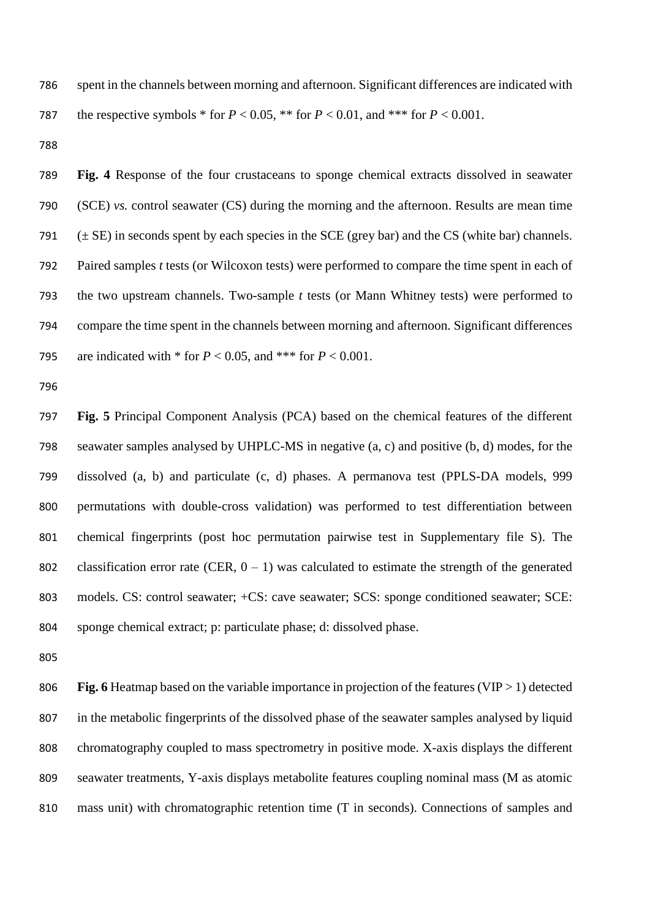spent in the channels between morning and afternoon. Significant differences are indicated with 787 the respective symbols  $*$  for  $P < 0.05$ ,  $**$  for  $P < 0.01$ , and  $**$  for  $P < 0.001$ .

 **Fig. 4** Response of the four crustaceans to sponge chemical extracts dissolved in seawater (SCE) *vs.* control seawater (CS) during the morning and the afternoon. Results are mean time  $(\pm S$ E) in seconds spent by each species in the SCE (grey bar) and the CS (white bar) channels. Paired samples *t* tests (or Wilcoxon tests) were performed to compare the time spent in each of the two upstream channels. Two-sample *t* tests (or Mann Whitney tests) were performed to compare the time spent in the channels between morning and afternoon. Significant differences 795 are indicated with  $*$  for  $P < 0.05$ , and  $**$  for  $P < 0.001$ .

 **Fig. 5** Principal Component Analysis (PCA) based on the chemical features of the different seawater samples analysed by UHPLC-MS in negative (a, c) and positive (b, d) modes, for the dissolved (a, b) and particulate (c, d) phases. A permanova test (PPLS-DA models, 999 permutations with double-cross validation) was performed to test differentiation between chemical fingerprints (post hoc permutation pairwise test in Supplementary file S). The 802 classification error rate (CER,  $0 - 1$ ) was calculated to estimate the strength of the generated models. CS: control seawater; +CS: cave seawater; SCS: sponge conditioned seawater; SCE: sponge chemical extract; p: particulate phase; d: dissolved phase.

**Fig. 6** Heatmap based on the variable importance in projection of the features (VIP > 1) detected in the metabolic fingerprints of the dissolved phase of the seawater samples analysed by liquid chromatography coupled to mass spectrometry in positive mode. X-axis displays the different seawater treatments, Y-axis displays metabolite features coupling nominal mass (M as atomic mass unit) with chromatographic retention time (T in seconds). Connections of samples and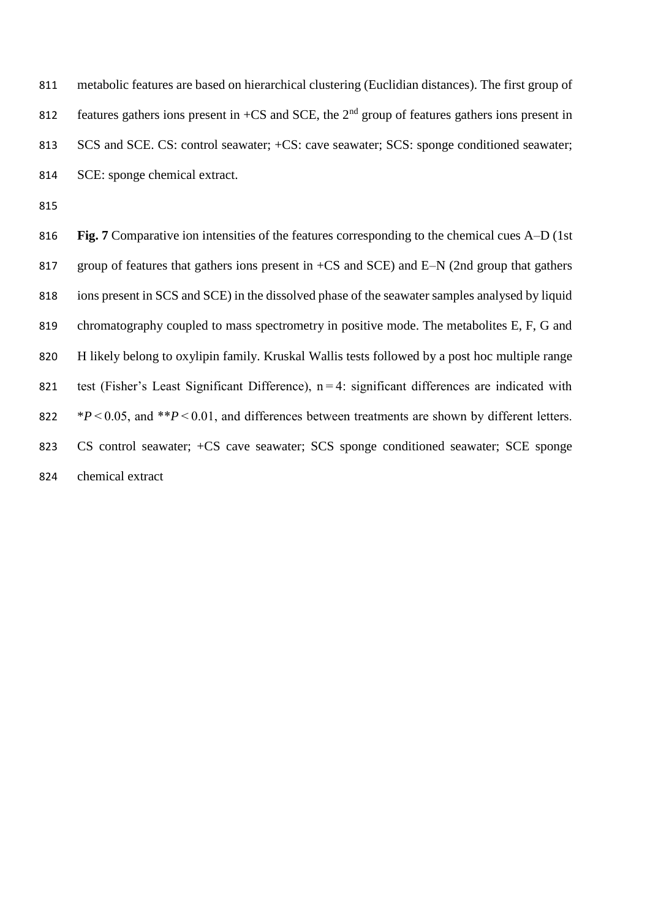metabolic features are based on hierarchical clustering (Euclidian distances). The first group of 812 features gathers ions present in +CS and SCE, the  $2<sup>nd</sup>$  group of features gathers ions present in 813 SCS and SCE. CS: control seawater;  $+CS$ : cave seawater; SCS: sponge conditioned seawater; SCE: sponge chemical extract.

 **Fig. 7** Comparative ion intensities of the features corresponding to the chemical cues A–D (1st 817 group of features that gathers ions present in +CS and SCE) and E–N (2nd group that gathers ions present in SCS and SCE) in the dissolved phase of the seawater samples analysed by liquid 819 chromatography coupled to mass spectrometry in positive mode. The metabolites E, F, G and H likely belong to oxylipin family. Kruskal Wallis tests followed by a post hoc multiple range 821 test (Fisher's Least Significant Difference),  $n=4$ : significant differences are indicated with \**P* < 0.05, and \*\**P* < 0.01, and differences between treatments are shown by different letters. CS control seawater; +CS cave seawater; SCS sponge conditioned seawater; SCE sponge chemical extract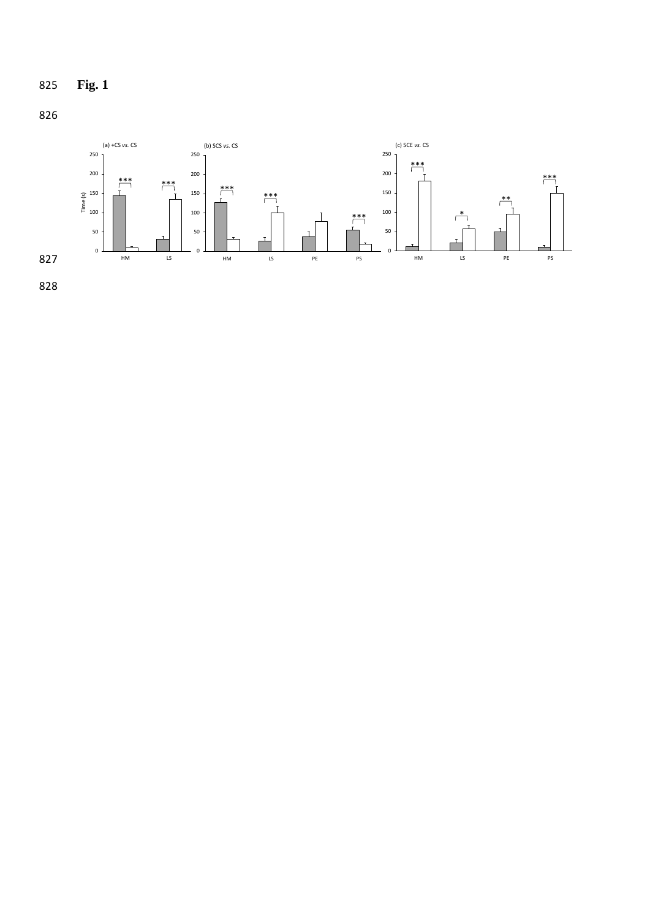



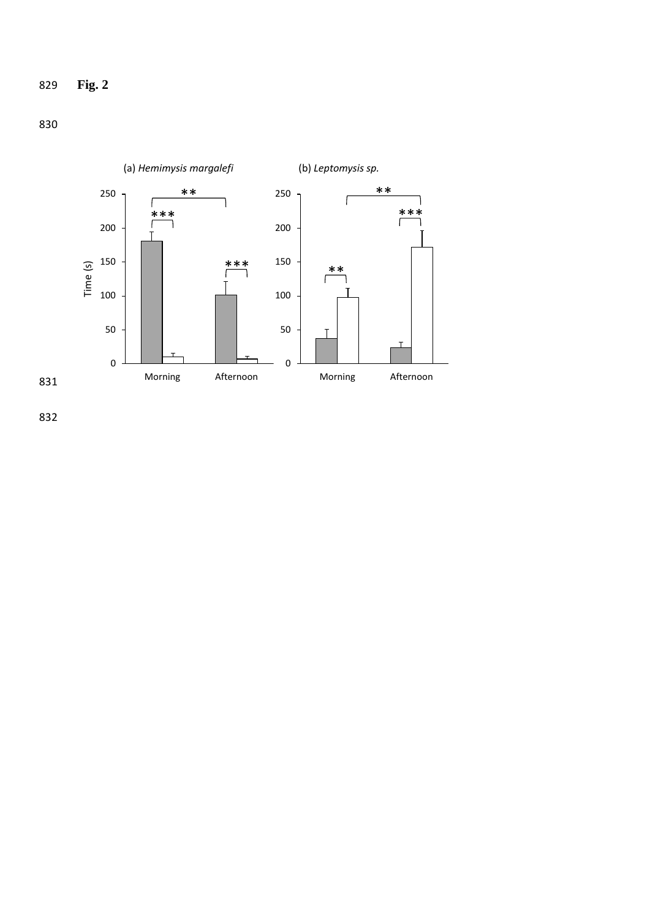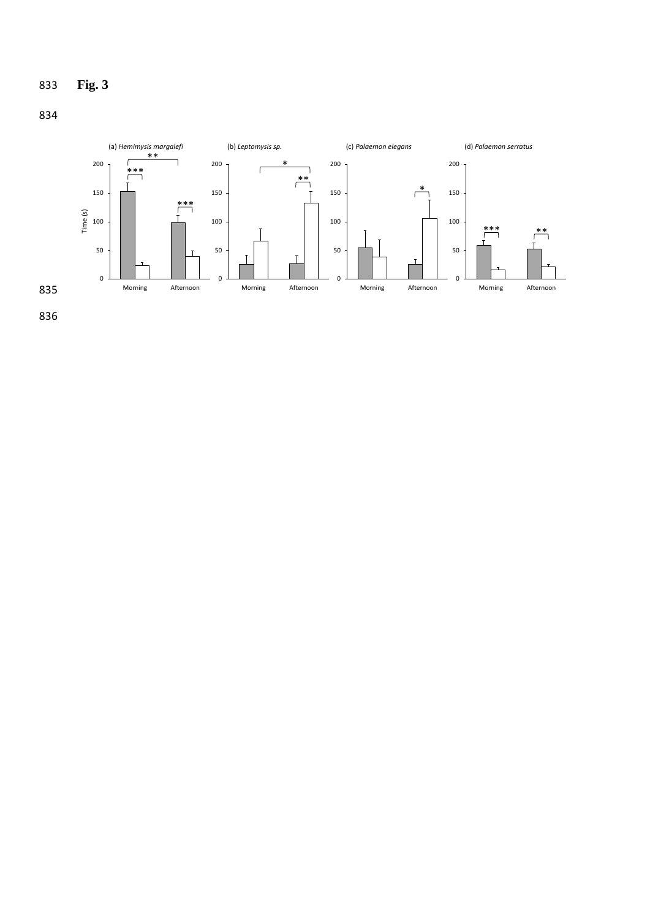![](_page_38_Figure_0.jpeg)

![](_page_38_Figure_1.jpeg)

![](_page_38_Figure_2.jpeg)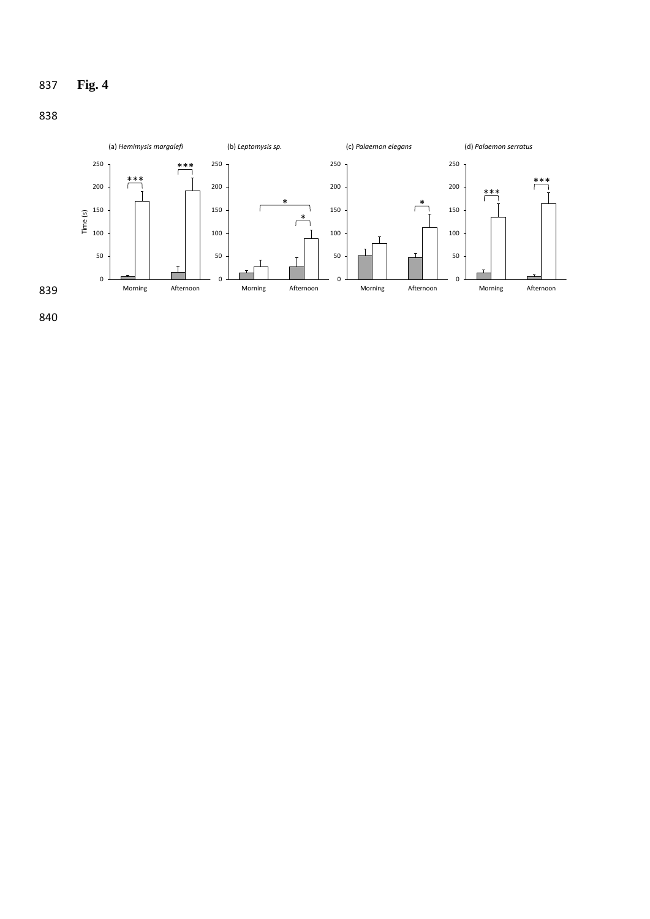# **Fig. 4**

![](_page_39_Figure_1.jpeg)

![](_page_39_Figure_2.jpeg)

![](_page_39_Figure_3.jpeg)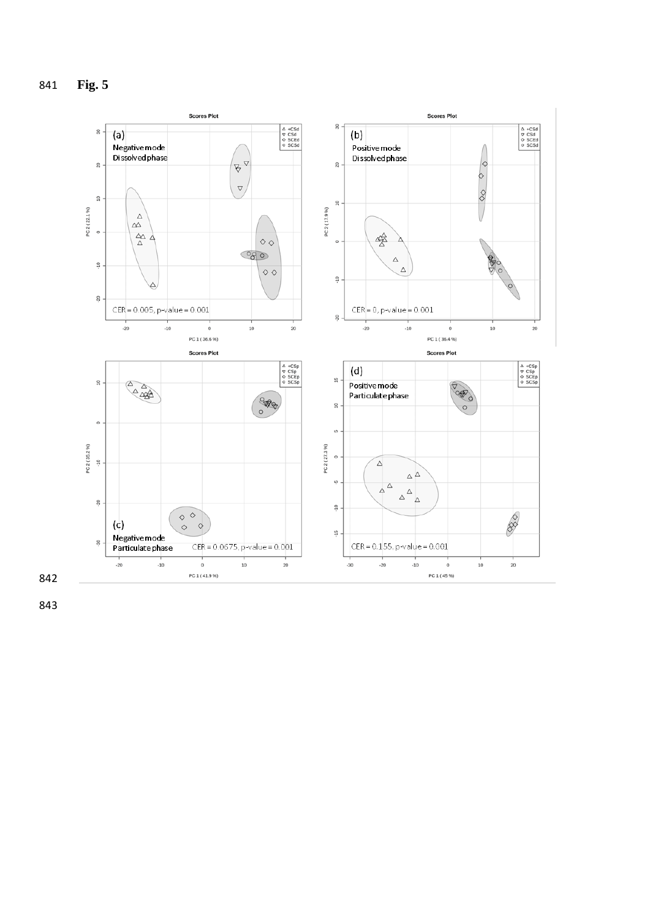![](_page_40_Figure_1.jpeg)

![](_page_40_Figure_2.jpeg)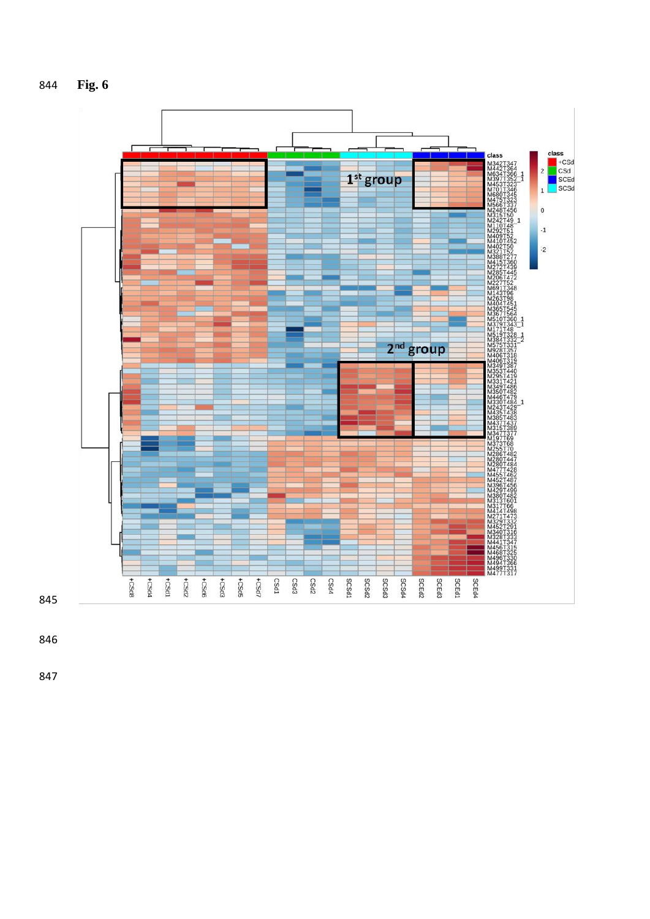![](_page_41_Figure_0.jpeg)